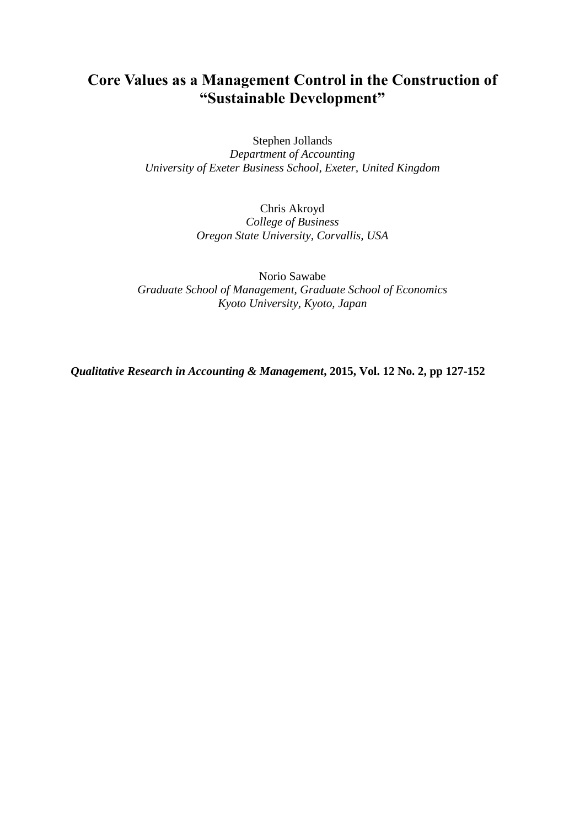# **Core Values as a Management Control in the Construction of "Sustainable Development"**

Stephen Jollands *Department of Accounting University of Exeter Business School, Exeter, United Kingdom*

> Chris Akroyd *College of Business Oregon State University, Corvallis, USA*

Norio Sawabe *Graduate School of Management, Graduate School of Economics Kyoto University, Kyoto, Japan*

*Qualitative Research in Accounting & Management***, 2015, Vol. 12 No. 2, pp 127-152**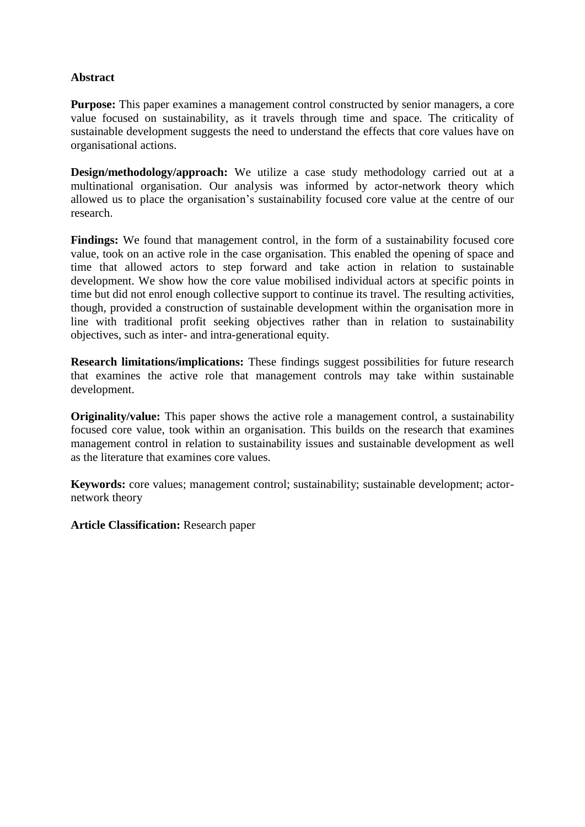# **Abstract**

**Purpose:** This paper examines a management control constructed by senior managers, a core value focused on sustainability, as it travels through time and space. The criticality of sustainable development suggests the need to understand the effects that core values have on organisational actions.

**Design/methodology/approach:** We utilize a case study methodology carried out at a multinational organisation. Our analysis was informed by actor-network theory which allowed us to place the organisation's sustainability focused core value at the centre of our research.

**Findings:** We found that management control, in the form of a sustainability focused core value, took on an active role in the case organisation. This enabled the opening of space and time that allowed actors to step forward and take action in relation to sustainable development. We show how the core value mobilised individual actors at specific points in time but did not enrol enough collective support to continue its travel. The resulting activities, though, provided a construction of sustainable development within the organisation more in line with traditional profit seeking objectives rather than in relation to sustainability objectives, such as inter- and intra-generational equity.

**Research limitations/implications:** These findings suggest possibilities for future research that examines the active role that management controls may take within sustainable development.

**Originality/value:** This paper shows the active role a management control, a sustainability focused core value, took within an organisation. This builds on the research that examines management control in relation to sustainability issues and sustainable development as well as the literature that examines core values.

**Keywords:** core values; management control; sustainability; sustainable development; actornetwork theory

**Article Classification:** Research paper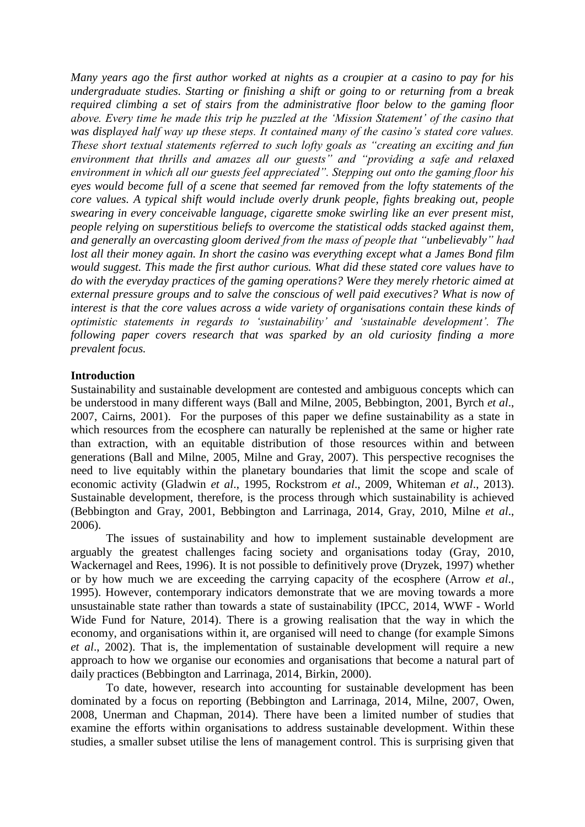*Many years ago the first author worked at nights as a croupier at a casino to pay for his undergraduate studies. Starting or finishing a shift or going to or returning from a break required climbing a set of stairs from the administrative floor below to the gaming floor above. Every time he made this trip he puzzled at the 'Mission Statement' of the casino that was displayed half way up these steps. It contained many of the casino's stated core values. These short textual statements referred to such lofty goals as "creating an exciting and fun environment that thrills and amazes all our guests" and "providing a safe and relaxed environment in which all our guests feel appreciated". Stepping out onto the gaming floor his eyes would become full of a scene that seemed far removed from the lofty statements of the core values. A typical shift would include overly drunk people, fights breaking out, people swearing in every conceivable language, cigarette smoke swirling like an ever present mist, people relying on superstitious beliefs to overcome the statistical odds stacked against them, and generally an overcasting gloom derived from the mass of people that "unbelievably" had lost all their money again. In short the casino was everything except what a James Bond film would suggest. This made the first author curious. What did these stated core values have to do with the everyday practices of the gaming operations? Were they merely rhetoric aimed at external pressure groups and to salve the conscious of well paid executives? What is now of interest is that the core values across a wide variety of organisations contain these kinds of optimistic statements in regards to 'sustainability' and 'sustainable development'. The following paper covers research that was sparked by an old curiosity finding a more prevalent focus.*

# **Introduction**

Sustainability and sustainable development are contested and ambiguous concepts which can be understood in many different ways [\(Ball and Milne, 2005,](#page-21-0) [Bebbington, 2001,](#page-21-1) [Byrch](#page-22-0) *et al*., [2007,](#page-22-0) [Cairns, 2001\)](#page-22-1). For the purposes of this paper we define sustainability as a state in which resources from the ecosphere can naturally be replenished at the same or higher rate than extraction, with an equitable distribution of those resources within and between generations [\(Ball and Milne, 2005,](#page-21-0) [Milne and Gray, 2007\)](#page-23-0). This perspective recognises the need to live equitably within the planetary boundaries that limit the scope and scale of economic activity [\(Gladwin](#page-22-2) *et al*., 1995, Rockstrom *et al*., 2009, [Whiteman](#page-25-0) *et al*., 2013). Sustainable development, therefore, is the process through which sustainability is achieved [\(Bebbington and Gray, 2001,](#page-21-2) [Bebbington and Larrinaga, 2014,](#page-21-3) [Gray,](#page-22-3) 2010, [Milne](#page-23-1) *et al*., [2006\)](#page-23-1).

The issues of sustainability and how to implement sustainable development are arguably the greatest challenges facing society and organisations today [\(Gray, 2010,](#page-22-3) Wackernagel and Rees, 1996). It is not possible to definitively prove [\(Dryzek, 1997\)](#page-22-4) whether or by how much we are exceeding the carrying capacity of the ecosphere [\(Arrow](#page-21-4) *et al*., [1995\)](#page-21-4). However, contemporary indicators demonstrate that we are moving towards a more unsustainable state rather than towards a state of sustainability [\(IPCC, 2014,](#page-23-2) WWF - World Wide Fund for Nature, 2014). There is a growing realisation that the way in which the economy, and organisations within it, are organised will need to change (for example Simons *et al*., 2002). That is, the implementation of sustainable development will require a new approach to how we organise our economies and organisations that become a natural part of daily practices [\(Bebbington and Larrinaga, 2014,](#page-21-3) [Birkin, 2000\)](#page-21-5).

To date, however, research into accounting for sustainable development has been dominated by a focus on reporting [\(Bebbington and Larrinaga, 2014,](#page-21-3) [Milne, 2007,](#page-23-3) [Owen,](#page-24-0)  [2008,](#page-24-0) [Unerman and Chapman, 2014\)](#page-25-1). There have been a limited number of studies that examine the efforts within organisations to address sustainable development. Within these studies, a smaller subset utilise the lens of management control. This is surprising given that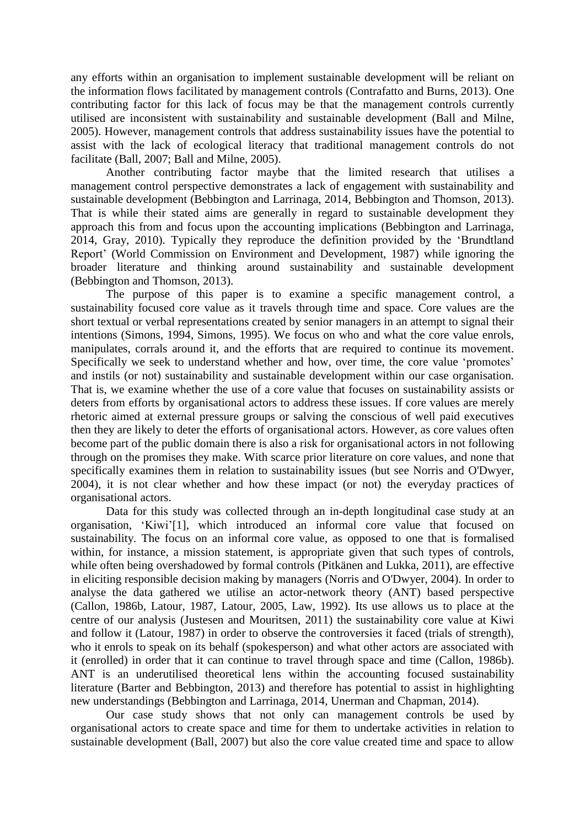any efforts within an organisation to implement sustainable development will be reliant on the information flows facilitated by management controls [\(Contrafatto and Burns, 2013\)](#page-22-5). One contributing factor for this lack of focus may be that the management controls currently utilised are inconsistent with sustainability and sustainable development [\(Ball and Milne,](#page-21-0)  [2005\)](#page-21-0). However, management controls that address sustainability issues have the potential to assist with the lack of ecological literacy that traditional management controls do not facilitate (Ball, 2007; Ball and Milne, 2005).

Another contributing factor maybe that the limited research that utilises a management control perspective demonstrates a lack of engagement with sustainability and sustainable development [\(Bebbington and Larrinaga, 2014,](#page-21-3) [Bebbington and Thomson, 2013\)](#page-21-6). That is while their stated aims are generally in regard to sustainable development they approach this from and focus upon the accounting implications [\(Bebbington and Larrinaga,](#page-21-3)  [2014,](#page-21-3) [Gray, 2010\)](#page-22-3). Typically they reproduce the definition provided by the 'Brundtland Report' [\(World Commission on Environment and Development, 1987\)](#page-25-2) while ignoring the broader literature and thinking around sustainability and sustainable development [\(Bebbington and Thomson, 2013\)](#page-21-6).

The purpose of this paper is to examine a specific management control, a sustainability focused core value as it travels through time and space. Core values are the short textual or verbal representations created by senior managers in an attempt to signal their intentions (Simons, 1994, Simons, 1995). We focus on who and what the core value enrols, manipulates, corrals around it, and the efforts that are required to continue its movement. Specifically we seek to understand whether and how, over time, the core value 'promotes' and instils (or not) sustainability and sustainable development within our case organisation. That is, we examine whether the use of a core value that focuses on sustainability assists or deters from efforts by organisational actors to address these issues. If core values are merely rhetoric aimed at external pressure groups or salving the conscious of well paid executives then they are likely to deter the efforts of organisational actors. However, as core values often become part of the public domain there is also a risk for organisational actors in not following through on the promises they make. With scarce prior literature on core values, and none that specifically examines them in relation to sustainability issues [\(but see Norris and O'Dwyer,](#page-24-1)  [2004\)](#page-24-1), it is not clear whether and how these impact (or not) the everyday practices of organisational actors.

Data for this study was collected through an in-depth longitudinal case study at an organisation, 'Kiwi'[1], which introduced an informal core value that focused on sustainability. The focus on an informal core value, as opposed to one that is formalised within, for instance, a mission statement, is appropriate given that such types of controls, while often being overshadowed by formal controls [\(Pitkänen and Lukka, 2011\)](#page-24-2), are effective in eliciting responsible decision making by managers [\(Norris and O'Dwyer, 2004\)](#page-24-1). In order to analyse the data gathered we utilise an actor-network theory (ANT) based perspective [\(Callon, 1986b,](#page-22-6) [Latour, 1987,](#page-23-4) [Latour, 2005,](#page-23-5) [Law, 1992\)](#page-23-6). Its use allows us to place at the centre of our analysis [\(Justesen and Mouritsen, 2011\)](#page-23-7) the sustainability core value at Kiwi and follow it [\(Latour, 1987\)](#page-23-4) in order to observe the controversies it faced (trials of strength), who it enrols to speak on its behalf (spokesperson) and what other actors are associated with it (enrolled) in order that it can continue to travel through space and time [\(Callon, 1986b\)](#page-22-6). ANT is an underutilised theoretical lens within the accounting focused sustainability literature [\(Barter and Bebbington, 2013\)](#page-21-7) and therefore has potential to assist in highlighting new understandings [\(Bebbington and Larrinaga, 2014,](#page-21-3) [Unerman and Chapman, 2014\)](#page-25-1).

Our case study shows that not only can management controls be used by organisational actors to create space and time for them to undertake activities in relation to sustainable development [\(Ball, 2007\)](#page-21-8) but also the core value created time and space to allow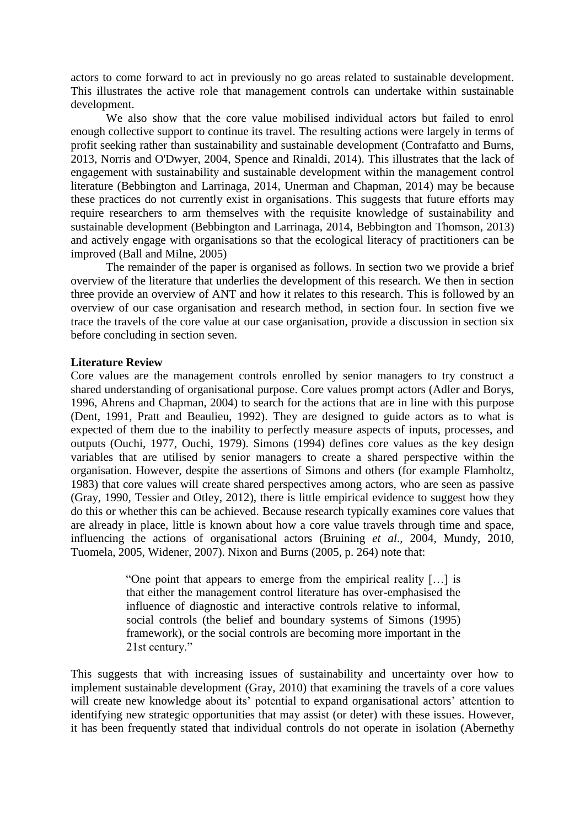actors to come forward to act in previously no go areas related to sustainable development. This illustrates the active role that management controls can undertake within sustainable development.

We also show that the core value mobilised individual actors but failed to enrol enough collective support to continue its travel. The resulting actions were largely in terms of profit seeking rather than sustainability and sustainable development [\(Contrafatto and Burns,](#page-22-5)  [2013,](#page-22-5) [Norris and O'Dwyer, 2004,](#page-24-1) [Spence and Rinaldi, 2014\)](#page-24-3). This illustrates that the lack of engagement with sustainability and sustainable development within the management control literature [\(Bebbington and Larrinaga, 2014,](#page-21-3) [Unerman and Chapman, 2014\)](#page-25-1) may be because these practices do not currently exist in organisations. This suggests that future efforts may require researchers to arm themselves with the requisite knowledge of sustainability and sustainable development [\(Bebbington and Larrinaga, 2014,](#page-21-3) [Bebbington and Thomson, 2013\)](#page-21-6) and actively engage with organisations so that the ecological literacy of practitioners can be improved [\(Ball and Milne, 2005\)](#page-21-0)

The remainder of the paper is organised as follows. In section two we provide a brief overview of the literature that underlies the development of this research. We then in section three provide an overview of ANT and how it relates to this research. This is followed by an overview of our case organisation and research method, in section four. In section five we trace the travels of the core value at our case organisation, provide a discussion in section six before concluding in section seven.

### **Literature Review**

Core values are the management controls enrolled by senior managers to try construct a shared understanding of organisational purpose. Core values prompt actors [\(Adler and Borys,](#page-21-9)  [1996,](#page-21-9) [Ahrens and Chapman, 2004\)](#page-21-10) to search for the actions that are in line with this purpose (Dent, 1991, [Pratt and Beaulieu, 1992\)](#page-24-4). They are designed to guide actors as to what is expected of them due to the inability to perfectly measure aspects of inputs, processes, and outputs [\(Ouchi, 1977,](#page-24-5) [Ouchi, 1979\)](#page-24-6). Simons (1994) defines core values as the key design variables that are utilised by senior managers to create a shared perspective within the organisation. However, despite the assertions of Simons and others [\(for example Flamholtz,](#page-22-7)  [1983\)](#page-22-7) that core values will create shared perspectives among actors, who are seen as passive [\(Gray, 1990,](#page-22-8) [Tessier and Otley, 2012\)](#page-24-7), there is little empirical evidence to suggest how they do this or whether this can be achieved. Because research typically examines core values that are already in place, little is known about how a core value travels through time and space, influencing the actions of organisational actors [\(Bruining](#page-22-9) *et al*., 2004, [Mundy, 2010,](#page-24-8) [Tuomela, 2005,](#page-25-3) [Widener, 2007\)](#page-25-4). Nixon and Burns [\(2005, p. 264\)](#page-24-9) note that:

> "One point that appears to emerge from the empirical reality […] is that either the management control literature has over-emphasised the influence of diagnostic and interactive controls relative to informal, social controls (the belief and boundary systems of Simons (1995) framework), or the social controls are becoming more important in the 21st century."

This suggests that with increasing issues of sustainability and uncertainty over how to implement sustainable development [\(Gray, 2010\)](#page-22-3) that examining the travels of a core values will create new knowledge about its' potential to expand organisational actors' attention to identifying new strategic opportunities that may assist (or deter) with these issues. However, it has been frequently stated that individual controls do not operate in isolation [\(Abernethy](#page-21-11)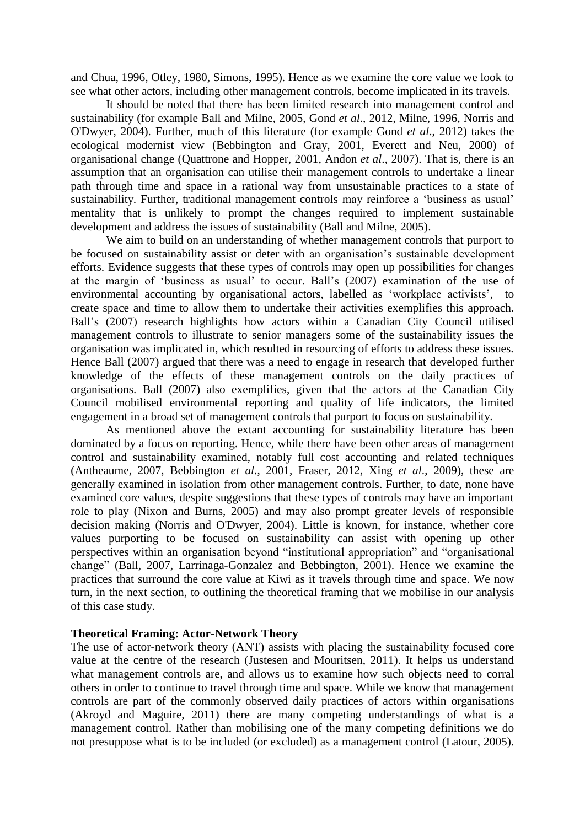[and Chua, 1996,](#page-21-11) [Otley, 1980,](#page-24-10) Simons, 1995). Hence as we examine the core value we look to see what other actors, including other management controls, become implicated in its travels.

It should be noted that there has been limited research into management control and sustainability (for example [Ball and Milne, 2005,](#page-21-0) Gond *et al*[., 2012,](#page-22-10) [Milne, 1996,](#page-23-8) [Norris and](#page-24-1)  [O'Dwyer, 2004\)](#page-24-1). Further, much of this literature [\(for example Gond](#page-22-10) *et al*., 2012) takes the ecological modernist view [\(Bebbington and Gray, 2001,](#page-21-2) [Everett and Neu, 2000\)](#page-22-11) of organisational change (Quattrone and Hopper, 2001, [Andon](#page-21-12) *et al*., 2007). That is, there is an assumption that an organisation can utilise their management controls to undertake a linear path through time and space in a rational way from unsustainable practices to a state of sustainability. Further, traditional management controls may reinforce a 'business as usual' mentality that is unlikely to prompt the changes required to implement sustainable development and address the issues of sustainability [\(Ball and Milne, 2005\)](#page-21-0).

We aim to build on an understanding of whether management controls that purport to be focused on sustainability assist or deter with an organisation's sustainable development efforts. Evidence suggests that these types of controls may open up possibilities for changes at the margin of 'business as usual' to occur. Ball's [\(2007\)](#page-21-8) examination of the use of environmental accounting by organisational actors, labelled as 'workplace activists', to create space and time to allow them to undertake their activities exemplifies this approach. Ball's (2007) research highlights how actors within a Canadian City Council utilised management controls to illustrate to senior managers some of the sustainability issues the organisation was implicated in, which resulted in resourcing of efforts to address these issues. Hence Ball (2007) argued that there was a need to engage in research that developed further knowledge of the effects of these management controls on the daily practices of organisations. Ball [\(2007\)](#page-21-8) also exemplifies, given that the actors at the Canadian City Council mobilised environmental reporting and quality of life indicators, the limited engagement in a broad set of management controls that purport to focus on sustainability.

As mentioned above the extant accounting for sustainability literature has been dominated by a focus on reporting. Hence, while there have been other areas of management control and sustainability examined, notably full cost accounting and related techniques [\(Antheaume, 2007,](#page-21-13) [Bebbington](#page-21-14) *et al*., 2001, [Fraser, 2012,](#page-22-12) Xing *et al*[., 2009\)](#page-25-5), these are generally examined in isolation from other management controls. Further, to date, none have examined core values, despite suggestions that these types of controls may have an important role to play [\(Nixon and Burns, 2005\)](#page-24-9) and may also prompt greater levels of responsible decision making [\(Norris and O'Dwyer, 2004\)](#page-24-1). Little is known, for instance, whether core values purporting to be focused on sustainability can assist with opening up other perspectives within an organisation beyond "institutional appropriation" and "organisational change" [\(Ball, 2007,](#page-21-8) Larrinaga-Gonzalez and Bebbington, 2001). Hence we examine the practices that surround the core value at Kiwi as it travels through time and space. We now turn, in the next section, to outlining the theoretical framing that we mobilise in our analysis of this case study.

## **Theoretical Framing: Actor-Network Theory**

The use of actor-network theory (ANT) assists with placing the sustainability focused core value at the centre of the research [\(Justesen and Mouritsen, 2011\)](#page-23-7). It helps us understand what management controls are, and allows us to examine how such objects need to corral others in order to continue to travel through time and space. While we know that management controls are part of the commonly observed daily practices of actors within organisations [\(Akroyd and Maguire, 2011\)](#page-21-15) there are many competing understandings of what is a management control. Rather than mobilising one of the many competing definitions we do not presuppose what is to be included (or excluded) as a management control [\(Latour, 2005\)](#page-23-5).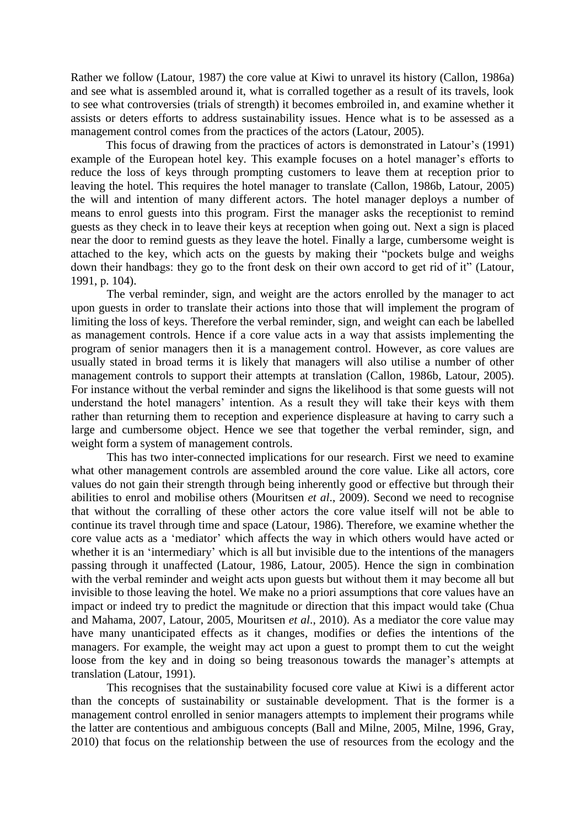Rather we follow [\(Latour, 1987\)](#page-23-4) the core value at Kiwi to unravel its history [\(Callon, 1986a\)](#page-22-13) and see what is assembled around it, what is corralled together as a result of its travels, look to see what controversies (trials of strength) it becomes embroiled in, and examine whether it assists or deters efforts to address sustainability issues. Hence what is to be assessed as a management control comes from the practices of the actors [\(Latour, 2005\)](#page-23-5).

This focus of drawing from the practices of actors is demonstrated in Latour's [\(1991\)](#page-23-9) example of the European hotel key. This example focuses on a hotel manager's efforts to reduce the loss of keys through prompting customers to leave them at reception prior to leaving the hotel. This requires the hotel manager to translate [\(Callon, 1986b,](#page-22-6) [Latour, 2005\)](#page-23-5) the will and intention of many different actors. The hotel manager deploys a number of means to enrol guests into this program. First the manager asks the receptionist to remind guests as they check in to leave their keys at reception when going out. Next a sign is placed near the door to remind guests as they leave the hotel. Finally a large, cumbersome weight is attached to the key, which acts on the guests by making their "pockets bulge and weighs down their handbags: they go to the front desk on their own accord to get rid of it" [\(Latour,](#page-23-9)  [1991, p. 104\)](#page-23-9).

The verbal reminder, sign, and weight are the actors enrolled by the manager to act upon guests in order to translate their actions into those that will implement the program of limiting the loss of keys. Therefore the verbal reminder, sign, and weight can each be labelled as management controls. Hence if a core value acts in a way that assists implementing the program of senior managers then it is a management control. However, as core values are usually stated in broad terms it is likely that managers will also utilise a number of other management controls to support their attempts at translation [\(Callon, 1986b,](#page-22-6) [Latour, 2005\)](#page-23-5). For instance without the verbal reminder and signs the likelihood is that some guests will not understand the hotel managers' intention. As a result they will take their keys with them rather than returning them to reception and experience displeasure at having to carry such a large and cumbersome object. Hence we see that together the verbal reminder, sign, and weight form a system of management controls.

This has two inter-connected implications for our research. First we need to examine what other management controls are assembled around the core value. Like all actors, core values do not gain their strength through being inherently good or effective but through their abilities to enrol and mobilise others [\(Mouritsen](#page-23-10) *et al*., 2009). Second we need to recognise that without the corralling of these other actors the core value itself will not be able to continue its travel through time and space [\(Latour, 1986\)](#page-23-11). Therefore, we examine whether the core value acts as a 'mediator' which affects the way in which others would have acted or whether it is an 'intermediary' which is all but invisible due to the intentions of the managers passing through it unaffected [\(Latour, 1986,](#page-23-11) [Latour, 2005\)](#page-23-5). Hence the sign in combination with the verbal reminder and weight acts upon guests but without them it may become all but invisible to those leaving the hotel. We make no a priori assumptions that core values have an impact or indeed try to predict the magnitude or direction that this impact would take [\(Chua](#page-22-14)  [and Mahama, 2007,](#page-22-14) [Latour, 2005,](#page-23-5) [Mouritsen](#page-24-11) *et al*., 2010). As a mediator the core value may have many unanticipated effects as it changes, modifies or defies the intentions of the managers. For example, the weight may act upon a guest to prompt them to cut the weight loose from the key and in doing so being treasonous towards the manager's attempts at translation [\(Latour, 1991\)](#page-23-9).

This recognises that the sustainability focused core value at Kiwi is a different actor than the concepts of sustainability or sustainable development. That is the former is a management control enrolled in senior managers attempts to implement their programs while the latter are contentious and ambiguous concepts [\(Ball and Milne, 2005,](#page-21-0) [Milne, 1996,](#page-23-8) [Gray,](#page-22-3)  [2010\)](#page-22-3) that focus on the relationship between the use of resources from the ecology and the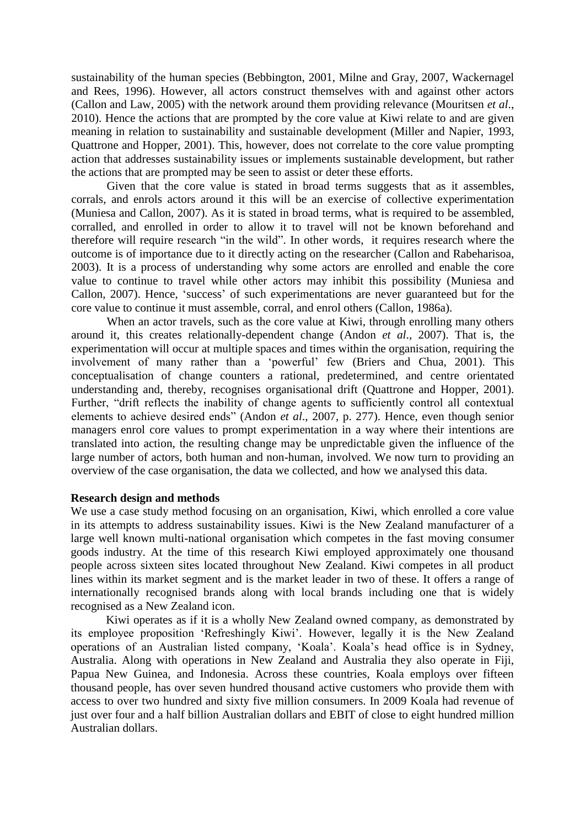sustainability of the human species [\(Bebbington, 2001,](#page-21-1) [Milne and Gray, 2007,](#page-23-0) Wackernagel and Rees, 1996). However, all actors construct themselves with and against other actors [\(Callon and Law, 2005\)](#page-22-15) with the network around them providing relevance [\(Mouritsen](#page-24-11) *et al*., [2010\)](#page-24-11). Hence the actions that are prompted by the core value at Kiwi relate to and are given meaning in relation to sustainability and sustainable development [\(Miller and Napier, 1993,](#page-23-12) Quattrone and Hopper, 2001). This, however, does not correlate to the core value prompting action that addresses sustainability issues or implements sustainable development, but rather the actions that are prompted may be seen to assist or deter these efforts.

Given that the core value is stated in broad terms suggests that as it assembles, corrals, and enrols actors around it this will be an exercise of collective experimentation [\(Muniesa and Callon, 2007\)](#page-24-12). As it is stated in broad terms, what is required to be assembled, corralled, and enrolled in order to allow it to travel will not be known beforehand and therefore will require research "in the wild". In other words, it requires research where the outcome is of importance due to it directly acting on the researcher [\(Callon and Rabeharisoa,](#page-22-16)  [2003\)](#page-22-16). It is a process of understanding why some actors are enrolled and enable the core value to continue to travel while other actors may inhibit this possibility [\(Muniesa and](#page-24-12)  [Callon, 2007\)](#page-24-12). Hence, 'success' of such experimentations are never guaranteed but for the core value to continue it must assemble, corral, and enrol others [\(Callon, 1986a\)](#page-22-13).

When an actor travels, such as the core value at Kiwi, through enrolling many others around it, this creates relationally-dependent change (Andon *et al*[., 2007\)](#page-21-12). That is, the experimentation will occur at multiple spaces and times within the organisation, requiring the involvement of many rather than a 'powerful' few [\(Briers and Chua, 2001\)](#page-22-17). This conceptualisation of change counters a rational, predetermined, and centre orientated understanding and, thereby, recognises organisational drift (Quattrone and Hopper, 2001). Further, "drift reflects the inability of change agents to sufficiently control all contextual elements to achieve desired ends" (Andon *et al*[., 2007, p. 277\)](#page-21-12). Hence, even though senior managers enrol core values to prompt experimentation in a way where their intentions are translated into action, the resulting change may be unpredictable given the influence of the large number of actors, both human and non-human, involved. We now turn to providing an overview of the case organisation, the data we collected, and how we analysed this data.

#### **Research design and methods**

We use a case study method focusing on an organisation, Kiwi, which enrolled a core value in its attempts to address sustainability issues. Kiwi is the New Zealand manufacturer of a large well known multi-national organisation which competes in the fast moving consumer goods industry. At the time of this research Kiwi employed approximately one thousand people across sixteen sites located throughout New Zealand. Kiwi competes in all product lines within its market segment and is the market leader in two of these. It offers a range of internationally recognised brands along with local brands including one that is widely recognised as a New Zealand icon.

Kiwi operates as if it is a wholly New Zealand owned company, as demonstrated by its employee proposition 'Refreshingly Kiwi'. However, legally it is the New Zealand operations of an Australian listed company, 'Koala'. Koala's head office is in Sydney, Australia. Along with operations in New Zealand and Australia they also operate in Fiji, Papua New Guinea, and Indonesia. Across these countries, Koala employs over fifteen thousand people, has over seven hundred thousand active customers who provide them with access to over two hundred and sixty five million consumers. In 2009 Koala had revenue of just over four and a half billion Australian dollars and EBIT of close to eight hundred million Australian dollars.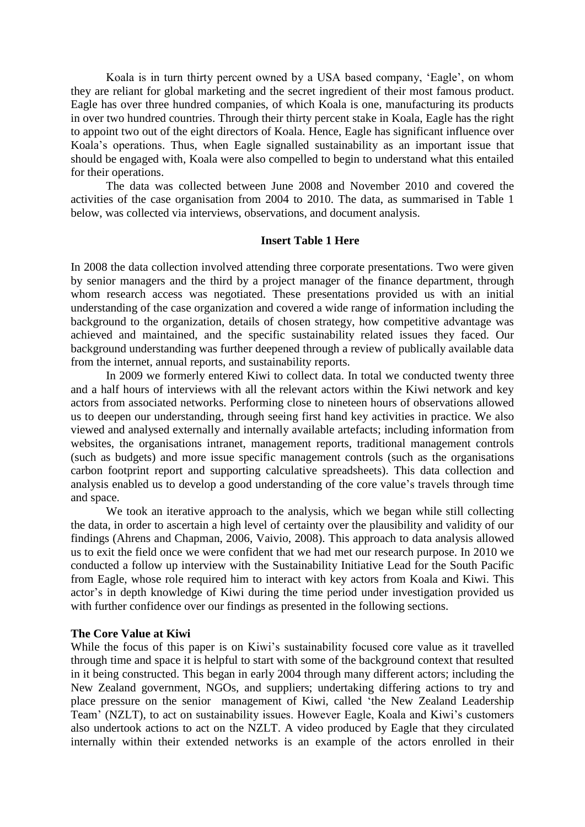Koala is in turn thirty percent owned by a USA based company, 'Eagle', on whom they are reliant for global marketing and the secret ingredient of their most famous product. Eagle has over three hundred companies, of which Koala is one, manufacturing its products in over two hundred countries. Through their thirty percent stake in Koala, Eagle has the right to appoint two out of the eight directors of Koala. Hence, Eagle has significant influence over Koala's operations. Thus, when Eagle signalled sustainability as an important issue that should be engaged with, Koala were also compelled to begin to understand what this entailed for their operations.

The data was collected between June 2008 and November 2010 and covered the activities of the case organisation from 2004 to 2010. The data, as summarised in Table 1 below, was collected via interviews, observations, and document analysis.

#### **Insert Table 1 Here**

In 2008 the data collection involved attending three corporate presentations. Two were given by senior managers and the third by a project manager of the finance department, through whom research access was negotiated. These presentations provided us with an initial understanding of the case organization and covered a wide range of information including the background to the organization, details of chosen strategy, how competitive advantage was achieved and maintained, and the specific sustainability related issues they faced. Our background understanding was further deepened through a review of publically available data from the internet, annual reports, and sustainability reports.

In 2009 we formerly entered Kiwi to collect data. In total we conducted twenty three and a half hours of interviews with all the relevant actors within the Kiwi network and key actors from associated networks. Performing close to nineteen hours of observations allowed us to deepen our understanding, through seeing first hand key activities in practice. We also viewed and analysed externally and internally available artefacts; including information from websites, the organisations intranet, management reports, traditional management controls (such as budgets) and more issue specific management controls (such as the organisations carbon footprint report and supporting calculative spreadsheets). This data collection and analysis enabled us to develop a good understanding of the core value's travels through time and space.

We took an iterative approach to the analysis, which we began while still collecting the data, in order to ascertain a high level of certainty over the plausibility and validity of our findings [\(Ahrens and Chapman, 2006,](#page-21-16) [Vaivio, 2008\)](#page-25-6). This approach to data analysis allowed us to exit the field once we were confident that we had met our research purpose. In 2010 we conducted a follow up interview with the Sustainability Initiative Lead for the South Pacific from Eagle, whose role required him to interact with key actors from Koala and Kiwi. This actor's in depth knowledge of Kiwi during the time period under investigation provided us with further confidence over our findings as presented in the following sections.

#### **The Core Value at Kiwi**

While the focus of this paper is on Kiwi's sustainability focused core value as it travelled through time and space it is helpful to start with some of the background context that resulted in it being constructed. This began in early 2004 through many different actors; including the New Zealand government, NGOs, and suppliers; undertaking differing actions to try and place pressure on the senior management of Kiwi, called 'the New Zealand Leadership Team' (NZLT), to act on sustainability issues. However Eagle, Koala and Kiwi's customers also undertook actions to act on the NZLT. A video produced by Eagle that they circulated internally within their extended networks is an example of the actors enrolled in their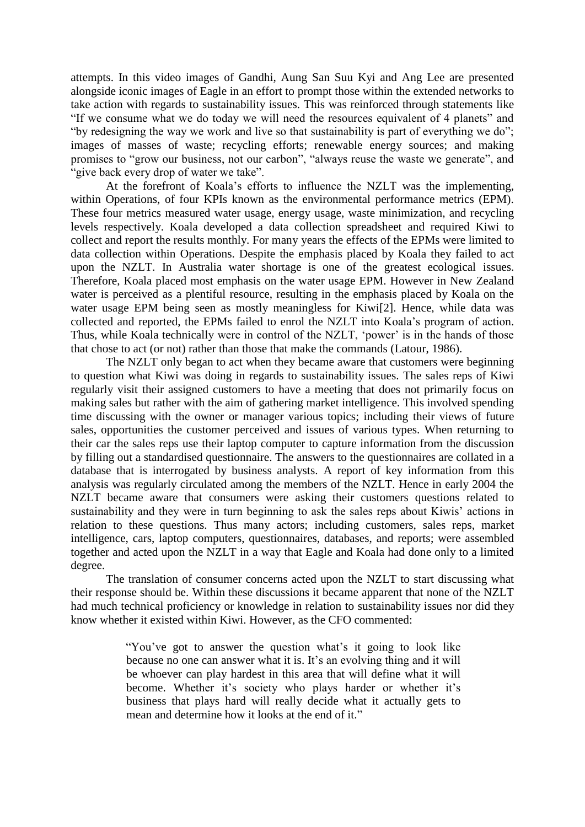attempts. In this video images of Gandhi, Aung San Suu Kyi and Ang Lee are presented alongside iconic images of Eagle in an effort to prompt those within the extended networks to take action with regards to sustainability issues. This was reinforced through statements like "If we consume what we do today we will need the resources equivalent of 4 planets" and "by redesigning the way we work and live so that sustainability is part of everything we do"; images of masses of waste; recycling efforts; renewable energy sources; and making promises to "grow our business, not our carbon", "always reuse the waste we generate", and "give back every drop of water we take".

At the forefront of Koala's efforts to influence the NZLT was the implementing, within Operations, of four KPIs known as the environmental performance metrics (EPM). These four metrics measured water usage, energy usage, waste minimization, and recycling levels respectively. Koala developed a data collection spreadsheet and required Kiwi to collect and report the results monthly. For many years the effects of the EPMs were limited to data collection within Operations. Despite the emphasis placed by Koala they failed to act upon the NZLT. In Australia water shortage is one of the greatest ecological issues. Therefore, Koala placed most emphasis on the water usage EPM. However in New Zealand water is perceived as a plentiful resource, resulting in the emphasis placed by Koala on the water usage EPM being seen as mostly meaningless for Kiwi[2]. Hence, while data was collected and reported, the EPMs failed to enrol the NZLT into Koala's program of action. Thus, while Koala technically were in control of the NZLT, 'power' is in the hands of those that chose to act (or not) rather than those that make the commands [\(Latour, 1986\)](#page-23-11).

The NZLT only began to act when they became aware that customers were beginning to question what Kiwi was doing in regards to sustainability issues. The sales reps of Kiwi regularly visit their assigned customers to have a meeting that does not primarily focus on making sales but rather with the aim of gathering market intelligence. This involved spending time discussing with the owner or manager various topics; including their views of future sales, opportunities the customer perceived and issues of various types. When returning to their car the sales reps use their laptop computer to capture information from the discussion by filling out a standardised questionnaire. The answers to the questionnaires are collated in a database that is interrogated by business analysts. A report of key information from this analysis was regularly circulated among the members of the NZLT. Hence in early 2004 the NZLT became aware that consumers were asking their customers questions related to sustainability and they were in turn beginning to ask the sales reps about Kiwis' actions in relation to these questions. Thus many actors; including customers, sales reps, market intelligence, cars, laptop computers, questionnaires, databases, and reports; were assembled together and acted upon the NZLT in a way that Eagle and Koala had done only to a limited degree.

The translation of consumer concerns acted upon the NZLT to start discussing what their response should be. Within these discussions it became apparent that none of the NZLT had much technical proficiency or knowledge in relation to sustainability issues nor did they know whether it existed within Kiwi. However, as the CFO commented:

> "You've got to answer the question what's it going to look like because no one can answer what it is. It's an evolving thing and it will be whoever can play hardest in this area that will define what it will become. Whether it's society who plays harder or whether it's business that plays hard will really decide what it actually gets to mean and determine how it looks at the end of it."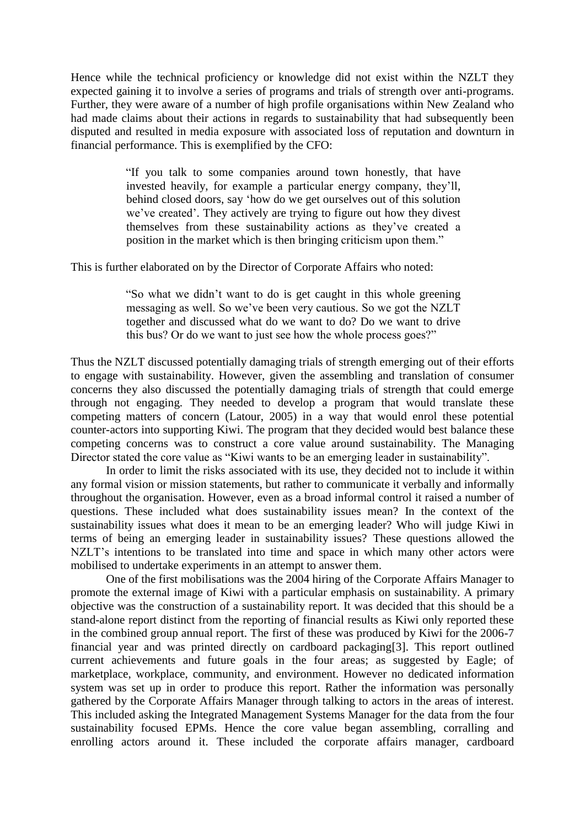Hence while the technical proficiency or knowledge did not exist within the NZLT they expected gaining it to involve a series of programs and trials of strength over anti-programs. Further, they were aware of a number of high profile organisations within New Zealand who had made claims about their actions in regards to sustainability that had subsequently been disputed and resulted in media exposure with associated loss of reputation and downturn in financial performance. This is exemplified by the CFO:

> "If you talk to some companies around town honestly, that have invested heavily, for example a particular energy company, they'll, behind closed doors, say 'how do we get ourselves out of this solution we've created'. They actively are trying to figure out how they divest themselves from these sustainability actions as they've created a position in the market which is then bringing criticism upon them."

This is further elaborated on by the Director of Corporate Affairs who noted:

"So what we didn't want to do is get caught in this whole greening messaging as well. So we've been very cautious. So we got the NZLT together and discussed what do we want to do? Do we want to drive this bus? Or do we want to just see how the whole process goes?"

Thus the NZLT discussed potentially damaging trials of strength emerging out of their efforts to engage with sustainability. However, given the assembling and translation of consumer concerns they also discussed the potentially damaging trials of strength that could emerge through not engaging. They needed to develop a program that would translate these competing matters of concern [\(Latour, 2005\)](#page-23-5) in a way that would enrol these potential counter-actors into supporting Kiwi. The program that they decided would best balance these competing concerns was to construct a core value around sustainability. The Managing Director stated the core value as "Kiwi wants to be an emerging leader in sustainability".

In order to limit the risks associated with its use, they decided not to include it within any formal vision or mission statements, but rather to communicate it verbally and informally throughout the organisation. However, even as a broad informal control it raised a number of questions. These included what does sustainability issues mean? In the context of the sustainability issues what does it mean to be an emerging leader? Who will judge Kiwi in terms of being an emerging leader in sustainability issues? These questions allowed the NZLT's intentions to be translated into time and space in which many other actors were mobilised to undertake experiments in an attempt to answer them.

One of the first mobilisations was the 2004 hiring of the Corporate Affairs Manager to promote the external image of Kiwi with a particular emphasis on sustainability. A primary objective was the construction of a sustainability report. It was decided that this should be a stand-alone report distinct from the reporting of financial results as Kiwi only reported these in the combined group annual report. The first of these was produced by Kiwi for the 2006-7 financial year and was printed directly on cardboard packaging[3]. This report outlined current achievements and future goals in the four areas; as suggested by Eagle; of marketplace, workplace, community, and environment. However no dedicated information system was set up in order to produce this report. Rather the information was personally gathered by the Corporate Affairs Manager through talking to actors in the areas of interest. This included asking the Integrated Management Systems Manager for the data from the four sustainability focused EPMs. Hence the core value began assembling, corralling and enrolling actors around it. These included the corporate affairs manager, cardboard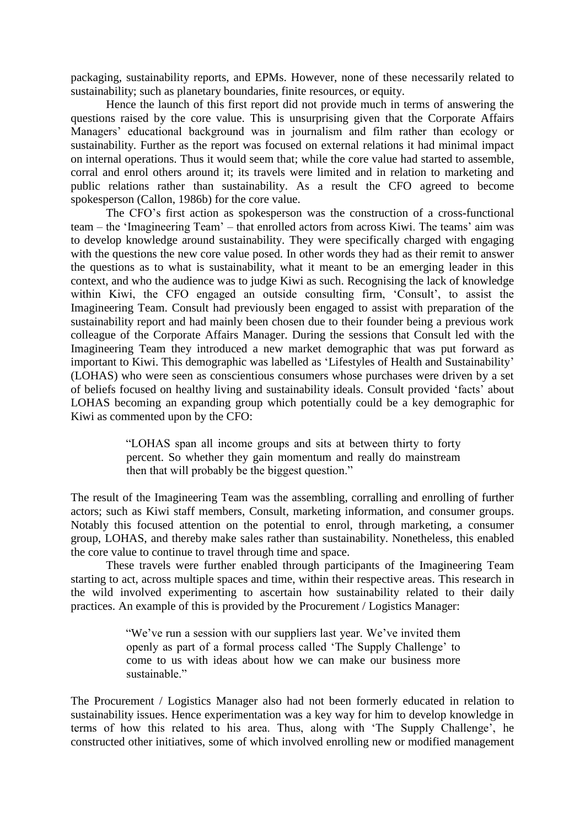packaging, sustainability reports, and EPMs. However, none of these necessarily related to sustainability; such as planetary boundaries, finite resources, or equity.

Hence the launch of this first report did not provide much in terms of answering the questions raised by the core value. This is unsurprising given that the Corporate Affairs Managers' educational background was in journalism and film rather than ecology or sustainability. Further as the report was focused on external relations it had minimal impact on internal operations. Thus it would seem that; while the core value had started to assemble, corral and enrol others around it; its travels were limited and in relation to marketing and public relations rather than sustainability. As a result the CFO agreed to become spokesperson [\(Callon, 1986b\)](#page-22-6) for the core value.

The CFO's first action as spokesperson was the construction of a cross-functional team – the 'Imagineering Team' – that enrolled actors from across Kiwi. The teams' aim was to develop knowledge around sustainability. They were specifically charged with engaging with the questions the new core value posed. In other words they had as their remit to answer the questions as to what is sustainability, what it meant to be an emerging leader in this context, and who the audience was to judge Kiwi as such. Recognising the lack of knowledge within Kiwi, the CFO engaged an outside consulting firm, 'Consult', to assist the Imagineering Team. Consult had previously been engaged to assist with preparation of the sustainability report and had mainly been chosen due to their founder being a previous work colleague of the Corporate Affairs Manager. During the sessions that Consult led with the Imagineering Team they introduced a new market demographic that was put forward as important to Kiwi. This demographic was labelled as 'Lifestyles of Health and Sustainability' (LOHAS) who were seen as conscientious consumers whose purchases were driven by a set of beliefs focused on healthy living and sustainability ideals. Consult provided 'facts' about LOHAS becoming an expanding group which potentially could be a key demographic for Kiwi as commented upon by the CFO:

> "LOHAS span all income groups and sits at between thirty to forty percent. So whether they gain momentum and really do mainstream then that will probably be the biggest question."

The result of the Imagineering Team was the assembling, corralling and enrolling of further actors; such as Kiwi staff members, Consult, marketing information, and consumer groups. Notably this focused attention on the potential to enrol, through marketing, a consumer group, LOHAS, and thereby make sales rather than sustainability. Nonetheless, this enabled the core value to continue to travel through time and space.

These travels were further enabled through participants of the Imagineering Team starting to act, across multiple spaces and time, within their respective areas. This research in the wild involved experimenting to ascertain how sustainability related to their daily practices. An example of this is provided by the Procurement / Logistics Manager:

> "We've run a session with our suppliers last year. We've invited them openly as part of a formal process called 'The Supply Challenge' to come to us with ideas about how we can make our business more sustainable."

The Procurement / Logistics Manager also had not been formerly educated in relation to sustainability issues. Hence experimentation was a key way for him to develop knowledge in terms of how this related to his area. Thus, along with 'The Supply Challenge', he constructed other initiatives, some of which involved enrolling new or modified management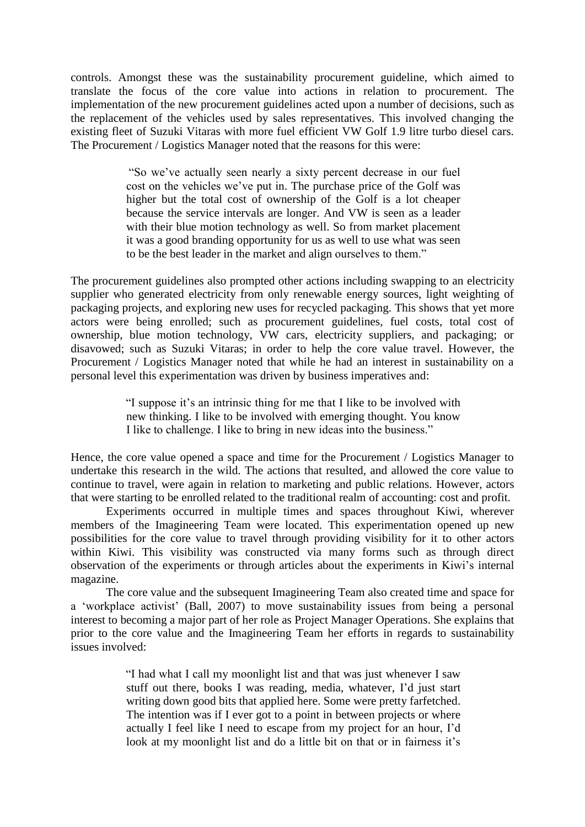controls. Amongst these was the sustainability procurement guideline, which aimed to translate the focus of the core value into actions in relation to procurement. The implementation of the new procurement guidelines acted upon a number of decisions, such as the replacement of the vehicles used by sales representatives. This involved changing the existing fleet of Suzuki Vitaras with more fuel efficient VW Golf 1.9 litre turbo diesel cars. The Procurement / Logistics Manager noted that the reasons for this were:

> "So we've actually seen nearly a sixty percent decrease in our fuel cost on the vehicles we've put in. The purchase price of the Golf was higher but the total cost of ownership of the Golf is a lot cheaper because the service intervals are longer. And VW is seen as a leader with their blue motion technology as well. So from market placement it was a good branding opportunity for us as well to use what was seen to be the best leader in the market and align ourselves to them."

The procurement guidelines also prompted other actions including swapping to an electricity supplier who generated electricity from only renewable energy sources, light weighting of packaging projects, and exploring new uses for recycled packaging. This shows that yet more actors were being enrolled; such as procurement guidelines, fuel costs, total cost of ownership, blue motion technology, VW cars, electricity suppliers, and packaging; or disavowed; such as Suzuki Vitaras; in order to help the core value travel. However, the Procurement / Logistics Manager noted that while he had an interest in sustainability on a personal level this experimentation was driven by business imperatives and:

> "I suppose it's an intrinsic thing for me that I like to be involved with new thinking. I like to be involved with emerging thought. You know I like to challenge. I like to bring in new ideas into the business."

Hence, the core value opened a space and time for the Procurement / Logistics Manager to undertake this research in the wild. The actions that resulted, and allowed the core value to continue to travel, were again in relation to marketing and public relations. However, actors that were starting to be enrolled related to the traditional realm of accounting: cost and profit.

Experiments occurred in multiple times and spaces throughout Kiwi, wherever members of the Imagineering Team were located. This experimentation opened up new possibilities for the core value to travel through providing visibility for it to other actors within Kiwi. This visibility was constructed via many forms such as through direct observation of the experiments or through articles about the experiments in Kiwi's internal magazine.

The core value and the subsequent Imagineering Team also created time and space for a 'workplace activist' [\(Ball, 2007\)](#page-21-8) to move sustainability issues from being a personal interest to becoming a major part of her role as Project Manager Operations. She explains that prior to the core value and the Imagineering Team her efforts in regards to sustainability issues involved:

> "I had what I call my moonlight list and that was just whenever I saw stuff out there, books I was reading, media, whatever, I'd just start writing down good bits that applied here. Some were pretty farfetched. The intention was if I ever got to a point in between projects or where actually I feel like I need to escape from my project for an hour, I'd look at my moonlight list and do a little bit on that or in fairness it's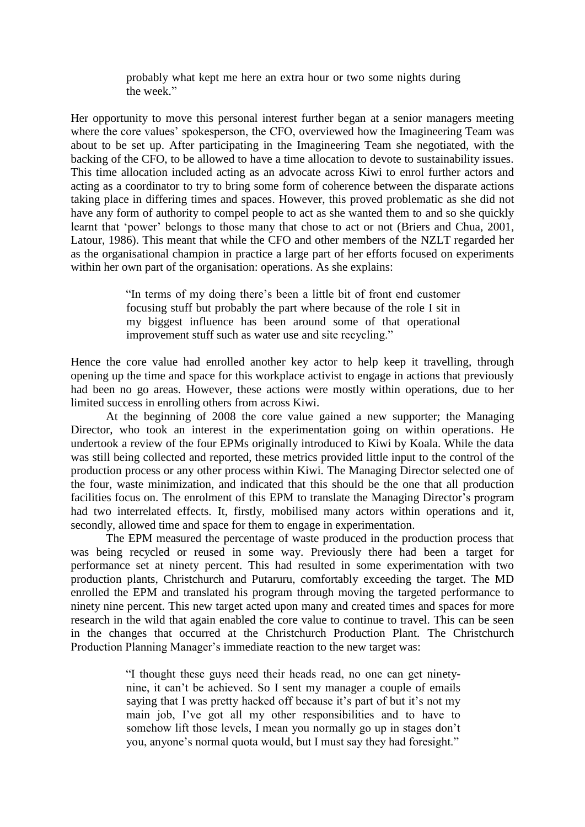probably what kept me here an extra hour or two some nights during the week."

Her opportunity to move this personal interest further began at a senior managers meeting where the core values' spokesperson, the CFO, overviewed how the Imagineering Team was about to be set up. After participating in the Imagineering Team she negotiated, with the backing of the CFO, to be allowed to have a time allocation to devote to sustainability issues. This time allocation included acting as an advocate across Kiwi to enrol further actors and acting as a coordinator to try to bring some form of coherence between the disparate actions taking place in differing times and spaces. However, this proved problematic as she did not have any form of authority to compel people to act as she wanted them to and so she quickly learnt that 'power' belongs to those many that chose to act or not [\(Briers and Chua, 2001,](#page-22-17) [Latour, 1986\)](#page-23-11). This meant that while the CFO and other members of the NZLT regarded her as the organisational champion in practice a large part of her efforts focused on experiments within her own part of the organisation: operations. As she explains:

> "In terms of my doing there's been a little bit of front end customer focusing stuff but probably the part where because of the role I sit in my biggest influence has been around some of that operational improvement stuff such as water use and site recycling."

Hence the core value had enrolled another key actor to help keep it travelling, through opening up the time and space for this workplace activist to engage in actions that previously had been no go areas. However, these actions were mostly within operations, due to her limited success in enrolling others from across Kiwi.

At the beginning of 2008 the core value gained a new supporter; the Managing Director, who took an interest in the experimentation going on within operations. He undertook a review of the four EPMs originally introduced to Kiwi by Koala. While the data was still being collected and reported, these metrics provided little input to the control of the production process or any other process within Kiwi. The Managing Director selected one of the four, waste minimization, and indicated that this should be the one that all production facilities focus on. The enrolment of this EPM to translate the Managing Director's program had two interrelated effects. It, firstly, mobilised many actors within operations and it, secondly, allowed time and space for them to engage in experimentation.

The EPM measured the percentage of waste produced in the production process that was being recycled or reused in some way. Previously there had been a target for performance set at ninety percent. This had resulted in some experimentation with two production plants, Christchurch and Putaruru, comfortably exceeding the target. The MD enrolled the EPM and translated his program through moving the targeted performance to ninety nine percent. This new target acted upon many and created times and spaces for more research in the wild that again enabled the core value to continue to travel. This can be seen in the changes that occurred at the Christchurch Production Plant. The Christchurch Production Planning Manager's immediate reaction to the new target was:

> "I thought these guys need their heads read, no one can get ninetynine, it can't be achieved. So I sent my manager a couple of emails saying that I was pretty hacked off because it's part of but it's not my main job, I've got all my other responsibilities and to have to somehow lift those levels, I mean you normally go up in stages don't you, anyone's normal quota would, but I must say they had foresight."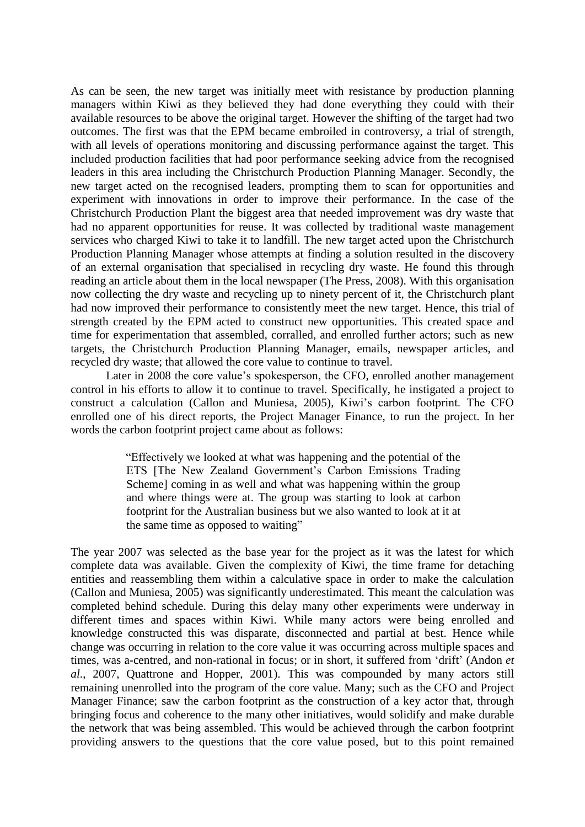As can be seen, the new target was initially meet with resistance by production planning managers within Kiwi as they believed they had done everything they could with their available resources to be above the original target. However the shifting of the target had two outcomes. The first was that the EPM became embroiled in controversy, a trial of strength, with all levels of operations monitoring and discussing performance against the target. This included production facilities that had poor performance seeking advice from the recognised leaders in this area including the Christchurch Production Planning Manager. Secondly, the new target acted on the recognised leaders, prompting them to scan for opportunities and experiment with innovations in order to improve their performance. In the case of the Christchurch Production Plant the biggest area that needed improvement was dry waste that had no apparent opportunities for reuse. It was collected by traditional waste management services who charged Kiwi to take it to landfill. The new target acted upon the Christchurch Production Planning Manager whose attempts at finding a solution resulted in the discovery of an external organisation that specialised in recycling dry waste. He found this through reading an article about them in the local newspaper (The Press, 2008). With this organisation now collecting the dry waste and recycling up to ninety percent of it, the Christchurch plant had now improved their performance to consistently meet the new target. Hence, this trial of strength created by the EPM acted to construct new opportunities. This created space and time for experimentation that assembled, corralled, and enrolled further actors; such as new targets, the Christchurch Production Planning Manager, emails, newspaper articles, and recycled dry waste; that allowed the core value to continue to travel.

Later in 2008 the core value's spokesperson, the CFO, enrolled another management control in his efforts to allow it to continue to travel. Specifically, he instigated a project to construct a calculation [\(Callon and Muniesa, 2005\)](#page-22-18), Kiwi's carbon footprint. The CFO enrolled one of his direct reports, the Project Manager Finance, to run the project. In her words the carbon footprint project came about as follows:

> "Effectively we looked at what was happening and the potential of the ETS [The New Zealand Government's Carbon Emissions Trading Scheme] coming in as well and what was happening within the group and where things were at. The group was starting to look at carbon footprint for the Australian business but we also wanted to look at it at the same time as opposed to waiting"

The year 2007 was selected as the base year for the project as it was the latest for which complete data was available. Given the complexity of Kiwi, the time frame for detaching entities and reassembling them within a calculative space in order to make the calculation [\(Callon and Muniesa, 2005\)](#page-22-18) was significantly underestimated. This meant the calculation was completed behind schedule. During this delay many other experiments were underway in different times and spaces within Kiwi. While many actors were being enrolled and knowledge constructed this was disparate, disconnected and partial at best. Hence while change was occurring in relation to the core value it was occurring across multiple spaces and times, was a-centred, and non-rational in focus; or in short, it suffered from 'drift' [\(Andon](#page-21-12) *et al*[., 2007,](#page-21-12) Quattrone and Hopper, 2001). This was compounded by many actors still remaining unenrolled into the program of the core value. Many; such as the CFO and Project Manager Finance; saw the carbon footprint as the construction of a key actor that, through bringing focus and coherence to the many other initiatives, would solidify and make durable the network that was being assembled. This would be achieved through the carbon footprint providing answers to the questions that the core value posed, but to this point remained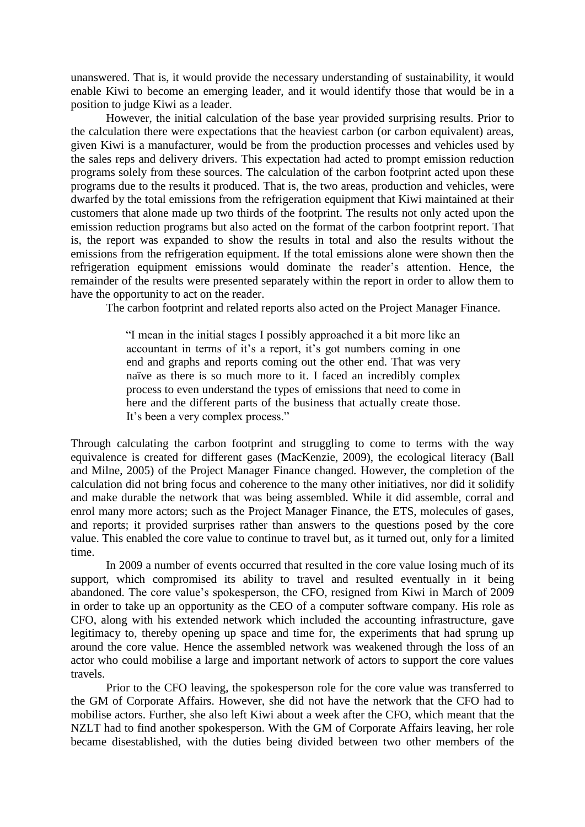unanswered. That is, it would provide the necessary understanding of sustainability, it would enable Kiwi to become an emerging leader, and it would identify those that would be in a position to judge Kiwi as a leader.

However, the initial calculation of the base year provided surprising results. Prior to the calculation there were expectations that the heaviest carbon (or carbon equivalent) areas, given Kiwi is a manufacturer, would be from the production processes and vehicles used by the sales reps and delivery drivers. This expectation had acted to prompt emission reduction programs solely from these sources. The calculation of the carbon footprint acted upon these programs due to the results it produced. That is, the two areas, production and vehicles, were dwarfed by the total emissions from the refrigeration equipment that Kiwi maintained at their customers that alone made up two thirds of the footprint. The results not only acted upon the emission reduction programs but also acted on the format of the carbon footprint report. That is, the report was expanded to show the results in total and also the results without the emissions from the refrigeration equipment. If the total emissions alone were shown then the refrigeration equipment emissions would dominate the reader's attention. Hence, the remainder of the results were presented separately within the report in order to allow them to have the opportunity to act on the reader.

The carbon footprint and related reports also acted on the Project Manager Finance.

"I mean in the initial stages I possibly approached it a bit more like an accountant in terms of it's a report, it's got numbers coming in one end and graphs and reports coming out the other end. That was very naïve as there is so much more to it. I faced an incredibly complex process to even understand the types of emissions that need to come in here and the different parts of the business that actually create those. It's been a very complex process."

Through calculating the carbon footprint and struggling to come to terms with the way equivalence is created for different gases [\(MacKenzie, 2009\)](#page-23-13), the ecological literacy [\(Ball](#page-21-0)  [and Milne, 2005\)](#page-21-0) of the Project Manager Finance changed. However, the completion of the calculation did not bring focus and coherence to the many other initiatives, nor did it solidify and make durable the network that was being assembled. While it did assemble, corral and enrol many more actors; such as the Project Manager Finance, the ETS, molecules of gases, and reports; it provided surprises rather than answers to the questions posed by the core value. This enabled the core value to continue to travel but, as it turned out, only for a limited time.

In 2009 a number of events occurred that resulted in the core value losing much of its support, which compromised its ability to travel and resulted eventually in it being abandoned. The core value's spokesperson, the CFO, resigned from Kiwi in March of 2009 in order to take up an opportunity as the CEO of a computer software company. His role as CFO, along with his extended network which included the accounting infrastructure, gave legitimacy to, thereby opening up space and time for, the experiments that had sprung up around the core value. Hence the assembled network was weakened through the loss of an actor who could mobilise a large and important network of actors to support the core values travels.

Prior to the CFO leaving, the spokesperson role for the core value was transferred to the GM of Corporate Affairs. However, she did not have the network that the CFO had to mobilise actors. Further, she also left Kiwi about a week after the CFO, which meant that the NZLT had to find another spokesperson. With the GM of Corporate Affairs leaving, her role became disestablished, with the duties being divided between two other members of the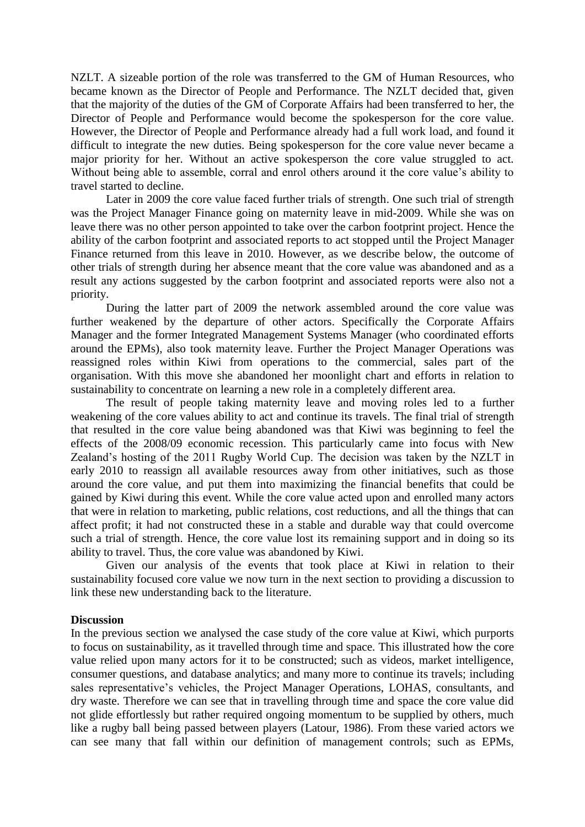NZLT. A sizeable portion of the role was transferred to the GM of Human Resources, who became known as the Director of People and Performance. The NZLT decided that, given that the majority of the duties of the GM of Corporate Affairs had been transferred to her, the Director of People and Performance would become the spokesperson for the core value. However, the Director of People and Performance already had a full work load, and found it difficult to integrate the new duties. Being spokesperson for the core value never became a major priority for her. Without an active spokesperson the core value struggled to act. Without being able to assemble, corral and enrol others around it the core value's ability to travel started to decline.

Later in 2009 the core value faced further trials of strength. One such trial of strength was the Project Manager Finance going on maternity leave in mid-2009. While she was on leave there was no other person appointed to take over the carbon footprint project. Hence the ability of the carbon footprint and associated reports to act stopped until the Project Manager Finance returned from this leave in 2010. However, as we describe below, the outcome of other trials of strength during her absence meant that the core value was abandoned and as a result any actions suggested by the carbon footprint and associated reports were also not a priority.

During the latter part of 2009 the network assembled around the core value was further weakened by the departure of other actors. Specifically the Corporate Affairs Manager and the former Integrated Management Systems Manager (who coordinated efforts around the EPMs), also took maternity leave. Further the Project Manager Operations was reassigned roles within Kiwi from operations to the commercial, sales part of the organisation. With this move she abandoned her moonlight chart and efforts in relation to sustainability to concentrate on learning a new role in a completely different area.

The result of people taking maternity leave and moving roles led to a further weakening of the core values ability to act and continue its travels. The final trial of strength that resulted in the core value being abandoned was that Kiwi was beginning to feel the effects of the 2008/09 economic recession. This particularly came into focus with New Zealand's hosting of the 2011 Rugby World Cup. The decision was taken by the NZLT in early 2010 to reassign all available resources away from other initiatives, such as those around the core value, and put them into maximizing the financial benefits that could be gained by Kiwi during this event. While the core value acted upon and enrolled many actors that were in relation to marketing, public relations, cost reductions, and all the things that can affect profit; it had not constructed these in a stable and durable way that could overcome such a trial of strength. Hence, the core value lost its remaining support and in doing so its ability to travel. Thus, the core value was abandoned by Kiwi.

Given our analysis of the events that took place at Kiwi in relation to their sustainability focused core value we now turn in the next section to providing a discussion to link these new understanding back to the literature.

#### **Discussion**

In the previous section we analysed the case study of the core value at Kiwi, which purports to focus on sustainability, as it travelled through time and space. This illustrated how the core value relied upon many actors for it to be constructed; such as videos, market intelligence, consumer questions, and database analytics; and many more to continue its travels; including sales representative's vehicles, the Project Manager Operations, LOHAS, consultants, and dry waste. Therefore we can see that in travelling through time and space the core value did not glide effortlessly but rather required ongoing momentum to be supplied by others, much like a rugby ball being passed between players [\(Latour, 1986\)](#page-23-11). From these varied actors we can see many that fall within our definition of management controls; such as EPMs,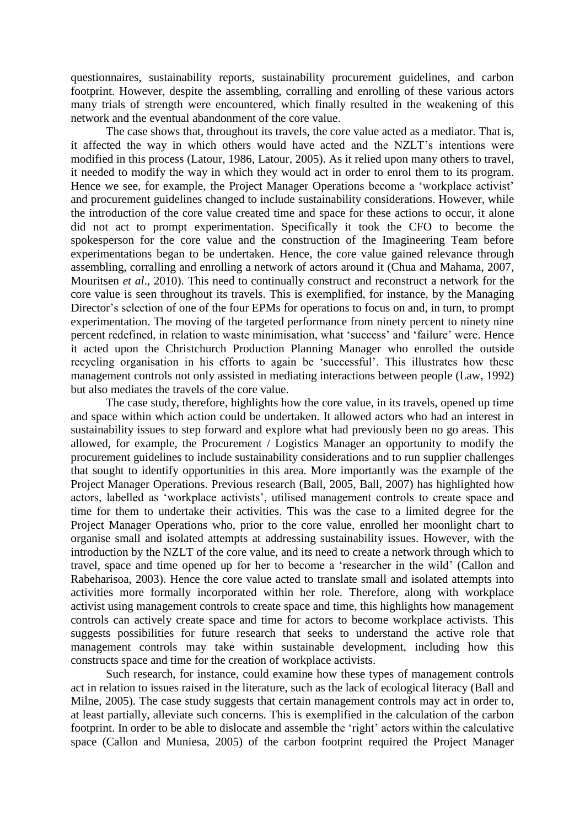questionnaires, sustainability reports, sustainability procurement guidelines, and carbon footprint. However, despite the assembling, corralling and enrolling of these various actors many trials of strength were encountered, which finally resulted in the weakening of this network and the eventual abandonment of the core value.

The case shows that, throughout its travels, the core value acted as a mediator. That is, it affected the way in which others would have acted and the NZLT's intentions were modified in this process [\(Latour, 1986,](#page-23-11) [Latour, 2005\)](#page-23-5). As it relied upon many others to travel, it needed to modify the way in which they would act in order to enrol them to its program. Hence we see, for example, the Project Manager Operations become a 'workplace activist' and procurement guidelines changed to include sustainability considerations. However, while the introduction of the core value created time and space for these actions to occur, it alone did not act to prompt experimentation. Specifically it took the CFO to become the spokesperson for the core value and the construction of the Imagineering Team before experimentations began to be undertaken. Hence, the core value gained relevance through assembling, corralling and enrolling a network of actors around it [\(Chua and Mahama, 2007,](#page-22-14) [Mouritsen](#page-24-11) *et al*., 2010). This need to continually construct and reconstruct a network for the core value is seen throughout its travels. This is exemplified, for instance, by the Managing Director's selection of one of the four EPMs for operations to focus on and, in turn, to prompt experimentation. The moving of the targeted performance from ninety percent to ninety nine percent redefined, in relation to waste minimisation, what 'success' and 'failure' were. Hence it acted upon the Christchurch Production Planning Manager who enrolled the outside recycling organisation in his efforts to again be 'successful'. This illustrates how these management controls not only assisted in mediating interactions between people [\(Law, 1992\)](#page-23-6) but also mediates the travels of the core value.

The case study, therefore, highlights how the core value, in its travels, opened up time and space within which action could be undertaken. It allowed actors who had an interest in sustainability issues to step forward and explore what had previously been no go areas. This allowed, for example, the Procurement / Logistics Manager an opportunity to modify the procurement guidelines to include sustainability considerations and to run supplier challenges that sought to identify opportunities in this area. More importantly was the example of the Project Manager Operations. Previous research [\(Ball, 2005,](#page-21-17) [Ball, 2007\)](#page-21-8) has highlighted how actors, labelled as 'workplace activists', utilised management controls to create space and time for them to undertake their activities. This was the case to a limited degree for the Project Manager Operations who, prior to the core value, enrolled her moonlight chart to organise small and isolated attempts at addressing sustainability issues. However, with the introduction by the NZLT of the core value, and its need to create a network through which to travel, space and time opened up for her to become a 'researcher in the wild' [\(Callon and](#page-22-16)  [Rabeharisoa, 2003\)](#page-22-16). Hence the core value acted to translate small and isolated attempts into activities more formally incorporated within her role. Therefore, along with workplace activist using management controls to create space and time, this highlights how management controls can actively create space and time for actors to become workplace activists. This suggests possibilities for future research that seeks to understand the active role that management controls may take within sustainable development, including how this constructs space and time for the creation of workplace activists.

Such research, for instance, could examine how these types of management controls act in relation to issues raised in the literature, such as the lack of ecological literacy [\(Ball and](#page-21-0)  [Milne, 2005\)](#page-21-0). The case study suggests that certain management controls may act in order to, at least partially, alleviate such concerns. This is exemplified in the calculation of the carbon footprint. In order to be able to dislocate and assemble the 'right' actors within the calculative space [\(Callon and Muniesa, 2005\)](#page-22-18) of the carbon footprint required the Project Manager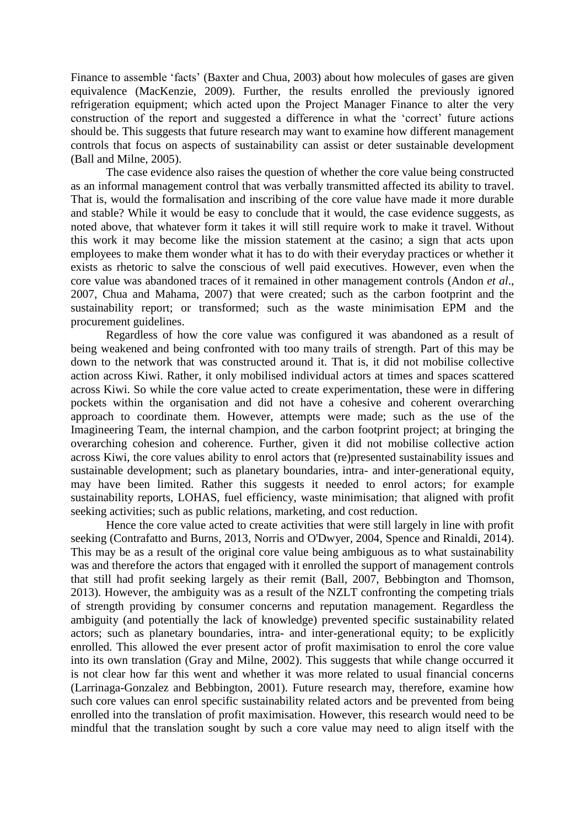Finance to assemble 'facts' [\(Baxter and Chua, 2003\)](#page-21-18) about how molecules of gases are given equivalence [\(MacKenzie, 2009\)](#page-23-13). Further, the results enrolled the previously ignored refrigeration equipment; which acted upon the Project Manager Finance to alter the very construction of the report and suggested a difference in what the 'correct' future actions should be. This suggests that future research may want to examine how different management controls that focus on aspects of sustainability can assist or deter sustainable development [\(Ball and Milne, 2005\)](#page-21-0).

The case evidence also raises the question of whether the core value being constructed as an informal management control that was verbally transmitted affected its ability to travel. That is, would the formalisation and inscribing of the core value have made it more durable and stable? While it would be easy to conclude that it would, the case evidence suggests, as noted above, that whatever form it takes it will still require work to make it travel. Without this work it may become like the mission statement at the casino; a sign that acts upon employees to make them wonder what it has to do with their everyday practices or whether it exists as rhetoric to salve the conscious of well paid executives. However, even when the core value was abandoned traces of it remained in other management controls [\(Andon](#page-21-12) *et al*., [2007,](#page-21-12) [Chua and Mahama, 2007\)](#page-22-14) that were created; such as the carbon footprint and the sustainability report; or transformed; such as the waste minimisation EPM and the procurement guidelines.

Regardless of how the core value was configured it was abandoned as a result of being weakened and being confronted with too many trails of strength. Part of this may be down to the network that was constructed around it. That is, it did not mobilise collective action across Kiwi. Rather, it only mobilised individual actors at times and spaces scattered across Kiwi. So while the core value acted to create experimentation, these were in differing pockets within the organisation and did not have a cohesive and coherent overarching approach to coordinate them. However, attempts were made; such as the use of the Imagineering Team, the internal champion, and the carbon footprint project; at bringing the overarching cohesion and coherence. Further, given it did not mobilise collective action across Kiwi, the core values ability to enrol actors that (re)presented sustainability issues and sustainable development; such as planetary boundaries, intra- and inter-generational equity, may have been limited. Rather this suggests it needed to enrol actors; for example sustainability reports, LOHAS, fuel efficiency, waste minimisation; that aligned with profit seeking activities; such as public relations, marketing, and cost reduction.

Hence the core value acted to create activities that were still largely in line with profit seeking [\(Contrafatto and Burns, 2013,](#page-22-5) [Norris and O'Dwyer, 2004,](#page-24-1) [Spence and Rinaldi, 2014\)](#page-24-3). This may be as a result of the original core value being ambiguous as to what sustainability was and therefore the actors that engaged with it enrolled the support of management controls that still had profit seeking largely as their remit [\(Ball, 2007,](#page-21-8) [Bebbington and Thomson,](#page-21-6)  [2013\)](#page-21-6). However, the ambiguity was as a result of the NZLT confronting the competing trials of strength providing by consumer concerns and reputation management. Regardless the ambiguity (and potentially the lack of knowledge) prevented specific sustainability related actors; such as planetary boundaries, intra- and inter-generational equity; to be explicitly enrolled. This allowed the ever present actor of profit maximisation to enrol the core value into its own translation (Gray and Milne, 2002). This suggests that while change occurred it is not clear how far this went and whether it was more related to usual financial concerns (Larrinaga-Gonzalez and Bebbington, 2001). Future research may, therefore, examine how such core values can enrol specific sustainability related actors and be prevented from being enrolled into the translation of profit maximisation. However, this research would need to be mindful that the translation sought by such a core value may need to align itself with the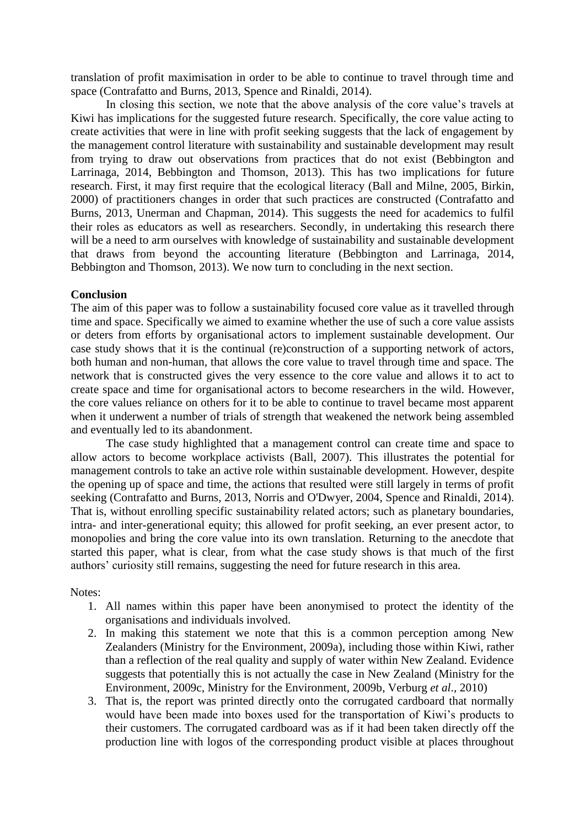translation of profit maximisation in order to be able to continue to travel through time and space [\(Contrafatto and Burns, 2013,](#page-22-5) [Spence and Rinaldi, 2014\)](#page-24-3).

In closing this section, we note that the above analysis of the core value's travels at Kiwi has implications for the suggested future research. Specifically, the core value acting to create activities that were in line with profit seeking suggests that the lack of engagement by the management control literature with sustainability and sustainable development may result from trying to draw out observations from practices that do not exist [\(Bebbington and](#page-21-3)  [Larrinaga, 2014,](#page-21-3) [Bebbington and Thomson, 2013\)](#page-21-6). This has two implications for future research. First, it may first require that the ecological literacy [\(Ball and Milne, 2005,](#page-21-0) [Birkin,](#page-21-5)  [2000\)](#page-21-5) of practitioners changes in order that such practices are constructed [\(Contrafatto and](#page-22-5)  [Burns, 2013,](#page-22-5) [Unerman and Chapman, 2014\)](#page-25-1). This suggests the need for academics to fulfil their roles as educators as well as researchers. Secondly, in undertaking this research there will be a need to arm ourselves with knowledge of sustainability and sustainable development that draws from beyond the accounting literature [\(Bebbington and Larrinaga, 2014,](#page-21-3) [Bebbington and Thomson, 2013\)](#page-21-6). We now turn to concluding in the next section.

# **Conclusion**

The aim of this paper was to follow a sustainability focused core value as it travelled through time and space. Specifically we aimed to examine whether the use of such a core value assists or deters from efforts by organisational actors to implement sustainable development. Our case study shows that it is the continual (re)construction of a supporting network of actors, both human and non-human, that allows the core value to travel through time and space. The network that is constructed gives the very essence to the core value and allows it to act to create space and time for organisational actors to become researchers in the wild. However, the core values reliance on others for it to be able to continue to travel became most apparent when it underwent a number of trials of strength that weakened the network being assembled and eventually led to its abandonment.

The case study highlighted that a management control can create time and space to allow actors to become workplace activists [\(Ball, 2007\)](#page-21-8). This illustrates the potential for management controls to take an active role within sustainable development. However, despite the opening up of space and time, the actions that resulted were still largely in terms of profit seeking [\(Contrafatto and Burns, 2013,](#page-22-5) [Norris and O'Dwyer, 2004,](#page-24-1) [Spence and Rinaldi, 2014\)](#page-24-3). That is, without enrolling specific sustainability related actors; such as planetary boundaries, intra- and inter-generational equity; this allowed for profit seeking, an ever present actor, to monopolies and bring the core value into its own translation. Returning to the anecdote that started this paper, what is clear, from what the case study shows is that much of the first authors' curiosity still remains, suggesting the need for future research in this area.

#### Notes:

- 1. All names within this paper have been anonymised to protect the identity of the organisations and individuals involved.
- 2. In making this statement we note that this is a common perception among New Zealanders [\(Ministry for the Environment, 2009a\)](#page-23-14), including those within Kiwi, rather than a reflection of the real quality and supply of water within New Zealand. Evidence suggests that potentially this is not actually the case in New Zealand [\(Ministry for the](#page-23-15)  [Environment, 2009c,](#page-23-15) [Ministry for the Environment, 2009b,](#page-23-16) [Verburg](#page-25-7) *et al*., 2010)
- 3. That is, the report was printed directly onto the corrugated cardboard that normally would have been made into boxes used for the transportation of Kiwi's products to their customers. The corrugated cardboard was as if it had been taken directly off the production line with logos of the corresponding product visible at places throughout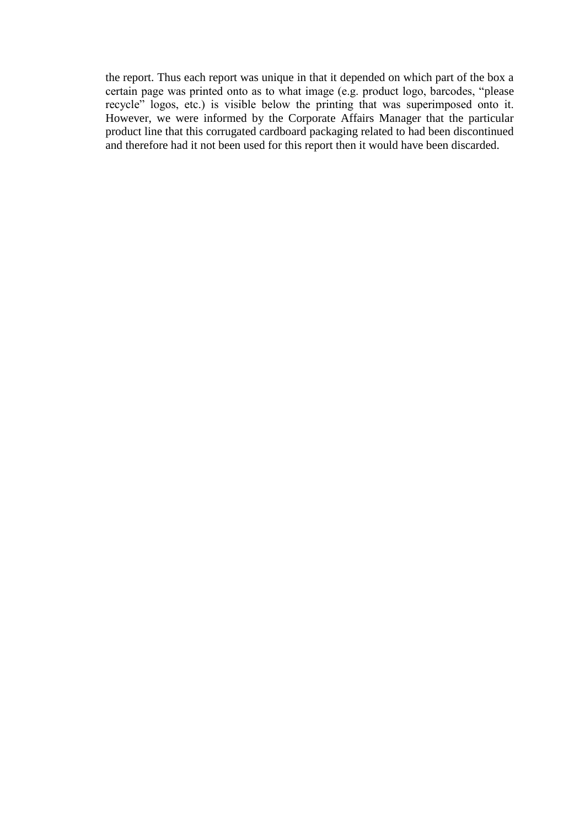the report. Thus each report was unique in that it depended on which part of the box a certain page was printed onto as to what image (e.g. product logo, barcodes, "please recycle" logos, etc.) is visible below the printing that was superimposed onto it. However, we were informed by the Corporate Affairs Manager that the particular product line that this corrugated cardboard packaging related to had been discontinued and therefore had it not been used for this report then it would have been discarded.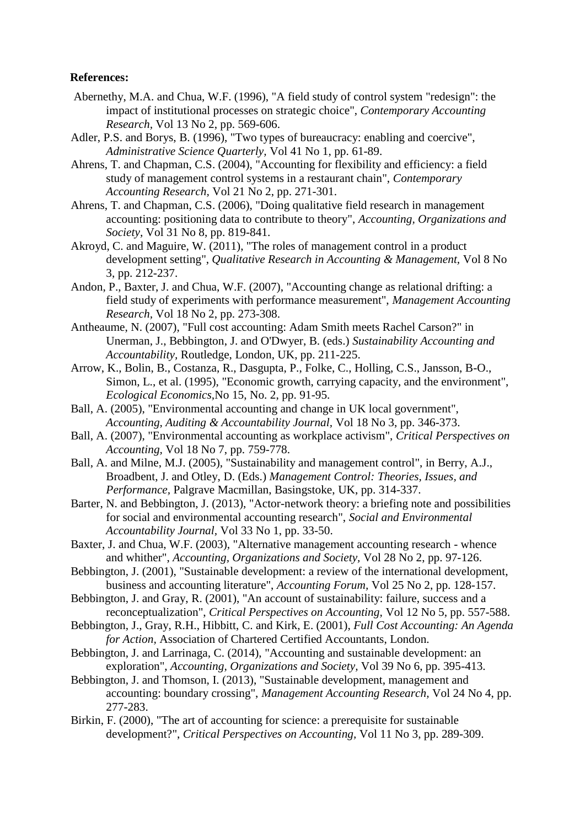## **References:**

- <span id="page-21-11"></span>Abernethy, M.A. and Chua, W.F. (1996), "A field study of control system "redesign": the impact of institutional processes on strategic choice", *Contemporary Accounting Research,* Vol 13 No 2, pp. 569-606.
- <span id="page-21-9"></span>Adler, P.S. and Borys, B. (1996), "Two types of bureaucracy: enabling and coercive", *Administrative Science Quarterly,* Vol 41 No 1, pp. 61-89.
- <span id="page-21-10"></span>Ahrens, T. and Chapman, C.S. (2004), "Accounting for flexibility and efficiency: a field study of management control systems in a restaurant chain", *Contemporary Accounting Research,* Vol 21 No 2, pp. 271-301.
- <span id="page-21-16"></span>Ahrens, T. and Chapman, C.S. (2006), "Doing qualitative field research in management accounting: positioning data to contribute to theory", *Accounting, Organizations and Society,* Vol 31 No 8, pp. 819-841.
- <span id="page-21-15"></span>Akroyd, C. and Maguire, W. (2011), "The roles of management control in a product development setting", *Qualitative Research in Accounting & Management,* Vol 8 No 3, pp. 212-237.
- <span id="page-21-12"></span>Andon, P., Baxter, J. and Chua, W.F. (2007), "Accounting change as relational drifting: a field study of experiments with performance measurement", *Management Accounting Research,* Vol 18 No 2, pp. 273-308.
- <span id="page-21-13"></span>Antheaume, N. (2007), "Full cost accounting: Adam Smith meets Rachel Carson?" in Unerman, J., Bebbington, J. and O'Dwyer, B. (eds.) *Sustainability Accounting and Accountability,* Routledge, London, UK, pp. 211-225.
- <span id="page-21-4"></span>Arrow, K., Bolin, B., Costanza, R., Dasgupta, P., Folke, C., Holling, C.S., Jansson, B-O., Simon, L., et al. (1995), "Economic growth, carrying capacity, and the environment", *Ecological Economics,*No 15, No. 2, pp. 91-95.
- <span id="page-21-17"></span>Ball, A. (2005), "Environmental accounting and change in UK local government", *Accounting, Auditing & Accountability Journal,* Vol 18 No 3, pp. 346-373.
- <span id="page-21-8"></span>Ball, A. (2007), "Environmental accounting as workplace activism", *Critical Perspectives on Accounting,* Vol 18 No 7, pp. 759-778.
- <span id="page-21-0"></span>Ball, A. and Milne, M.J. (2005), "Sustainability and management control", in Berry, A.J., Broadbent, J. and Otley, D. (Eds.) *Management Control: Theories, Issues, and Performance,* Palgrave Macmillan, Basingstoke, UK, pp. 314-337.
- <span id="page-21-7"></span>Barter, N. and Bebbington, J. (2013), "Actor-network theory: a briefing note and possibilities for social and environmental accounting research", *Social and Environmental Accountability Journal,* Vol 33 No 1, pp. 33-50.
- <span id="page-21-18"></span>Baxter, J. and Chua, W.F. (2003), "Alternative management accounting research - whence and whither", *Accounting, Organizations and Society,* Vol 28 No 2, pp. 97-126.
- <span id="page-21-1"></span>Bebbington, J. (2001), "Sustainable development: a review of the international development, business and accounting literature", *Accounting Forum,* Vol 25 No 2, pp. 128-157.
- <span id="page-21-2"></span>Bebbington, J. and Gray, R. (2001), "An account of sustainability: failure, success and a reconceptualization", *Critical Perspectives on Accounting,* Vol 12 No 5, pp. 557-588.
- <span id="page-21-14"></span>Bebbington, J., Gray, R.H., Hibbitt, C. and Kirk, E. (2001), *Full Cost Accounting: An Agenda for Action,* Association of Chartered Certified Accountants, London.
- <span id="page-21-3"></span>Bebbington, J. and Larrinaga, C. (2014), "Accounting and sustainable development: an exploration", *Accounting, Organizations and Society,* Vol 39 No 6, pp. 395-413.
- <span id="page-21-6"></span>Bebbington, J. and Thomson, I. (2013), "Sustainable development, management and accounting: boundary crossing", *Management Accounting Research,* Vol 24 No 4, pp. 277-283.
- <span id="page-21-5"></span>Birkin, F. (2000), "The art of accounting for science: a prerequisite for sustainable development?", *Critical Perspectives on Accounting,* Vol 11 No 3, pp. 289-309.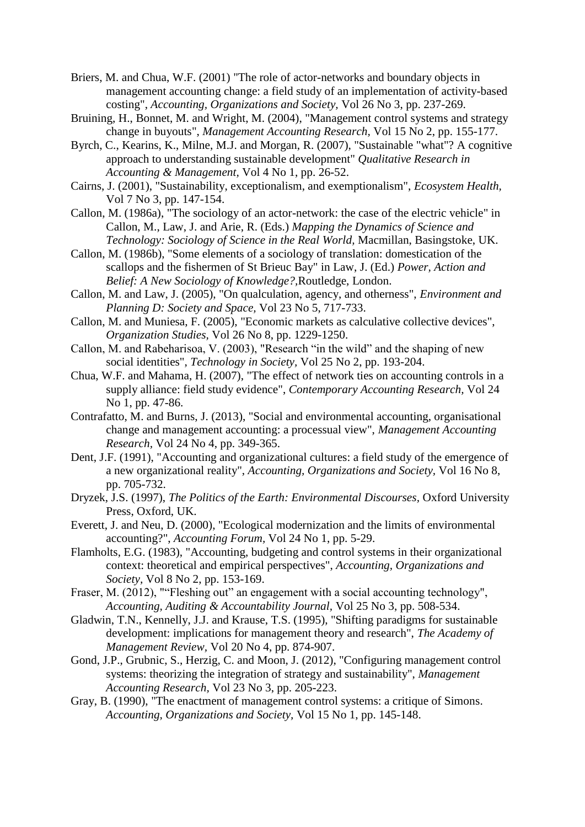- <span id="page-22-17"></span>Briers, M. and Chua, W.F. (2001) "The role of actor-networks and boundary objects in management accounting change: a field study of an implementation of activity-based costing", *Accounting, Organizations and Society,* Vol 26 No 3, pp. 237-269.
- <span id="page-22-9"></span>Bruining, H., Bonnet, M. and Wright, M. (2004), "Management control systems and strategy change in buyouts", *Management Accounting Research,* Vol 15 No 2, pp. 155-177.
- <span id="page-22-0"></span>Byrch, C., Kearins, K., Milne, M.J. and Morgan, R. (2007), "Sustainable "what"? A cognitive approach to understanding sustainable development" *Qualitative Research in Accounting & Management,* Vol 4 No 1, pp. 26-52.
- <span id="page-22-1"></span>Cairns, J. (2001), "Sustainability, exceptionalism, and exemptionalism", *Ecosystem Health,* Vol 7 No 3, pp. 147-154.
- <span id="page-22-13"></span>Callon, M. (1986a), "The sociology of an actor-network: the case of the electric vehicle" in Callon, M., Law, J. and Arie, R. (Eds.) *Mapping the Dynamics of Science and Technology: Sociology of Science in the Real World,* Macmillan, Basingstoke, UK.
- <span id="page-22-6"></span>Callon, M. (1986b), "Some elements of a sociology of translation: domestication of the scallops and the fishermen of St Brieuc Bay" in Law, J. (Ed.) *Power, Action and Belief: A New Sociology of Knowledge?,*Routledge, London.
- <span id="page-22-15"></span>Callon, M. and Law, J. (2005), "On qualculation, agency, and otherness", *Environment and Planning D: Society and Space,* Vol 23 No 5, 717-733.
- <span id="page-22-18"></span>Callon, M. and Muniesa, F. (2005), "Economic markets as calculative collective devices", *Organization Studies,* Vol 26 No 8, pp. 1229-1250.
- <span id="page-22-16"></span>Callon, M. and Rabeharisoa, V. (2003), "Research "in the wild" and the shaping of new social identities", *Technology in Society,* Vol 25 No 2, pp. 193-204.
- <span id="page-22-14"></span>Chua, W.F. and Mahama, H. (2007), "The effect of network ties on accounting controls in a supply alliance: field study evidence", *Contemporary Accounting Research,* Vol 24 No 1, pp. 47-86.
- <span id="page-22-5"></span>Contrafatto, M. and Burns, J. (2013), "Social and environmental accounting, organisational change and management accounting: a processual view", *Management Accounting Research,* Vol 24 No 4, pp. 349-365.
- <span id="page-22-4"></span>Dent, J.F. (1991), "Accounting and organizational cultures: a field study of the emergence of a new organizational reality", *Accounting, Organizations and Society,* Vol 16 No 8, pp. 705-732.
- <span id="page-22-11"></span>Dryzek, J.S. (1997), *The Politics of the Earth: Environmental Discourses,* Oxford University Press, Oxford, UK.
- <span id="page-22-7"></span>Everett, J. and Neu, D. (2000), "Ecological modernization and the limits of environmental accounting?", *Accounting Forum,* Vol 24 No 1, pp. 5-29.
- <span id="page-22-12"></span>Flamholts, E.G. (1983), "Accounting, budgeting and control systems in their organizational context: theoretical and empirical perspectives", *Accounting, Organizations and Society,* Vol 8 No 2, pp. 153-169.
- <span id="page-22-2"></span>Fraser, M. (2012), ""Fleshing out" an engagement with a social accounting technology", *Accounting, Auditing & Accountability Journal,* Vol 25 No 3, pp. 508-534.
- <span id="page-22-10"></span>Gladwin, T.N., Kennelly, J.J. and Krause, T.S. (1995), "Shifting paradigms for sustainable development: implications for management theory and research", *The Academy of Management Review,* Vol 20 No 4, pp. 874-907.
- <span id="page-22-8"></span>Gond, J.P., Grubnic, S., Herzig, C. and Moon, J. (2012), "Configuring management control systems: theorizing the integration of strategy and sustainability", *Management Accounting Research,* Vol 23 No 3, pp. 205-223.
- <span id="page-22-3"></span>Gray, B. (1990), "The enactment of management control systems: a critique of Simons. *Accounting, Organizations and Society,* Vol 15 No 1, pp. 145-148.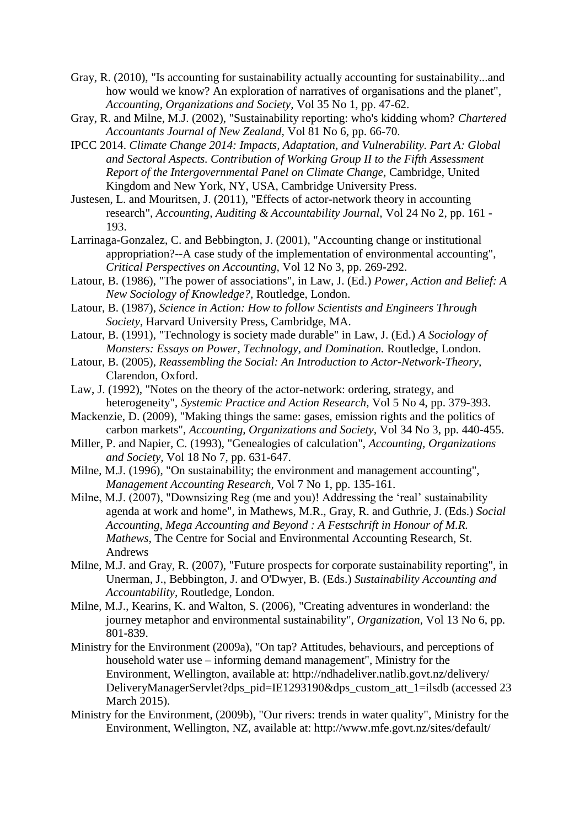- <span id="page-23-2"></span>Gray, R. (2010), "Is accounting for sustainability actually accounting for sustainability...and how would we know? An exploration of narratives of organisations and the planet", *Accounting, Organizations and Society,* Vol 35 No 1, pp. 47-62.
- <span id="page-23-7"></span>Gray, R. and Milne, M.J. (2002), "Sustainability reporting: who's kidding whom? *Chartered Accountants Journal of New Zealand,* Vol 81 No 6, pp. 66-70.
- IPCC 2014. *Climate Change 2014: Impacts, Adaptation, and Vulnerability. Part A: Global and Sectoral Aspects. Contribution of Working Group II to the Fifth Assessment Report of the Intergovernmental Panel on Climate Change,* Cambridge, United Kingdom and New York, NY, USA, Cambridge University Press.
- <span id="page-23-11"></span>Justesen, L. and Mouritsen, J. (2011), "Effects of actor-network theory in accounting research", *Accounting, Auditing & Accountability Journal,* Vol 24 No 2, pp. 161 - 193.
- <span id="page-23-4"></span>Larrinaga-Gonzalez, C. and Bebbington, J. (2001), "Accounting change or institutional appropriation?--A case study of the implementation of environmental accounting", *Critical Perspectives on Accounting,* Vol 12 No 3, pp. 269-292.
- <span id="page-23-9"></span>Latour, B. (1986), "The power of associations", in Law, J. (Ed.) *Power, Action and Belief: A New Sociology of Knowledge?,* Routledge, London.
- <span id="page-23-5"></span>Latour, B. (1987), *Science in Action: How to follow Scientists and Engineers Through Society*, Harvard University Press, Cambridge, MA.
- <span id="page-23-6"></span>Latour, B. (1991), "Technology is society made durable" in Law, J. (Ed.) *A Sociology of Monsters: Essays on Power, Technology, and Domination.* Routledge, London.
- <span id="page-23-13"></span>Latour, B. (2005), *Reassembling the Social: An Introduction to Actor-Network-Theory,*  Clarendon, Oxford.
- <span id="page-23-12"></span>Law, J. (1992), "Notes on the theory of the actor-network: ordering, strategy, and heterogeneity", *Systemic Practice and Action Research,* Vol 5 No 4, pp. 379-393.
- <span id="page-23-8"></span>Mackenzie, D. (2009), "Making things the same: gases, emission rights and the politics of carbon markets", *Accounting, Organizations and Society,* Vol 34 No 3, pp. 440-455.
- <span id="page-23-3"></span>Miller, P. and Napier, C. (1993), "Genealogies of calculation", *Accounting, Organizations and Society,* Vol 18 No 7, pp. 631-647.
- <span id="page-23-0"></span>Milne, M.J. (1996), "On sustainability; the environment and management accounting", *Management Accounting Research,* Vol 7 No 1, pp. 135-161.
- <span id="page-23-1"></span>Milne, M.J. (2007), "Downsizing Reg (me and you)! Addressing the 'real' sustainability agenda at work and home", in Mathews, M.R., Gray, R. and Guthrie, J. (Eds.) *Social Accounting, Mega Accounting and Beyond : A Festschrift in Honour of M.R. Mathews,* The Centre for Social and Environmental Accounting Research, St. Andrews
- <span id="page-23-14"></span>Milne, M.J. and Gray, R. (2007), "Future prospects for corporate sustainability reporting", in Unerman, J., Bebbington, J. and O'Dwyer, B. (Eds.) *Sustainability Accounting and Accountability,* Routledge, London.
- <span id="page-23-16"></span>Milne, M.J., Kearins, K. and Walton, S. (2006), "Creating adventures in wonderland: the journey metaphor and environmental sustainability", *Organization,* Vol 13 No 6, pp. 801-839.
- <span id="page-23-15"></span>Ministry for the Environment (2009a), "On tap? Attitudes, behaviours, and perceptions of household water use – informing demand management", Ministry for the Environment, Wellington, available at: http://ndhadeliver.natlib.govt.nz/delivery/ DeliveryManagerServlet?dps\_pid=IE1293190&dps\_custom\_att\_1=ilsdb (accessed 23 March 2015).
- <span id="page-23-10"></span>Ministry for the Environment, (2009b), "Our rivers: trends in water quality", Ministry for the Environment, Wellington, NZ, available at: http://www.mfe.govt.nz/sites/default/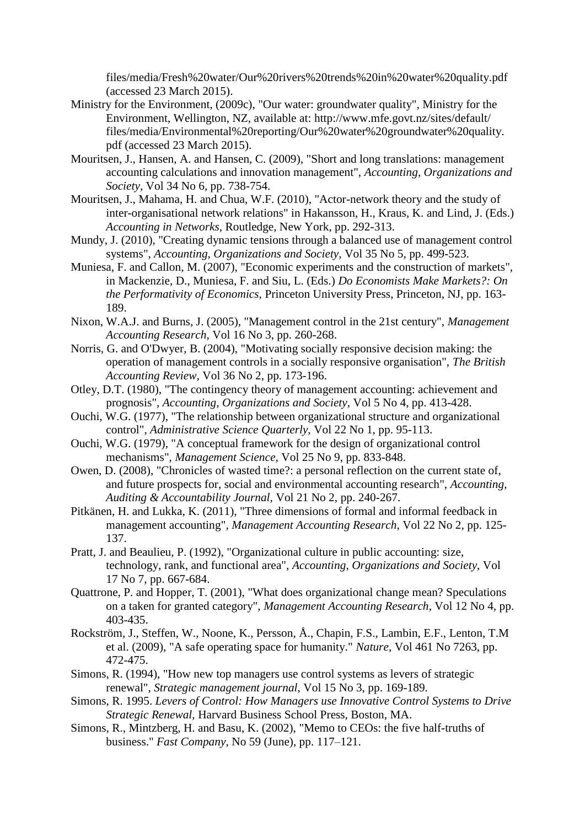<span id="page-24-8"></span>files/media/Fresh%20water/Our%20rivers%20trends%20in%20water%20quality.pdf (accessed 23 March 2015).

- <span id="page-24-11"></span>Ministry for the Environment, (2009c), "Our water: groundwater quality", Ministry for the Environment, Wellington, NZ, available at: http://www.mfe.govt.nz/sites/default/ files/media/Environmental%20reporting/Our%20water%20groundwater%20quality. pdf (accessed 23 March 2015).
- Mouritsen, J., Hansen, A. and Hansen, C. (2009), "Short and long translations: management accounting calculations and innovation management", *Accounting, Organizations and Society,* Vol 34 No 6, pp. 738-754.
- <span id="page-24-12"></span>Mouritsen, J., Mahama, H. and Chua, W.F. (2010), "Actor-network theory and the study of inter-organisational network relations" in Hakansson, H., Kraus, K. and Lind, J. (Eds.) *Accounting in Networks,* Routledge, New York, pp. 292-313.
- <span id="page-24-9"></span>Mundy, J. (2010), "Creating dynamic tensions through a balanced use of management control systems", *Accounting, Organizations and Society,* Vol 35 No 5, pp. 499-523.
- <span id="page-24-1"></span>Muniesa, F. and Callon, M. (2007), "Economic experiments and the construction of markets", in Mackenzie, D., Muniesa, F. and Siu, L. (Eds.) *Do Economists Make Markets?: On the Performativity of Economics,* Princeton University Press, Princeton, NJ, pp. 163- 189.
- <span id="page-24-10"></span>Nixon, W.A.J. and Burns, J. (2005), "Management control in the 21st century", *Management Accounting Research,* Vol 16 No 3, pp. 260-268.
- <span id="page-24-5"></span>Norris, G. and O'Dwyer, B. (2004), "Motivating socially responsive decision making: the operation of management controls in a socially responsive organisation", *The British Accounting Review,* Vol 36 No 2, pp. 173-196.
- <span id="page-24-6"></span>Otley, D.T. (1980), "The contingency theory of management accounting: achievement and prognosis", *Accounting, Organizations and Society,* Vol 5 No 4, pp. 413-428.
- <span id="page-24-0"></span>Ouchi, W.G. (1977), "The relationship between organizational structure and organizational control", *Administrative Science Quarterly,* Vol 22 No 1, pp. 95-113.
- <span id="page-24-2"></span>Ouchi, W.G. (1979), "A conceptual framework for the design of organizational control mechanisms", *Management Science,* Vol 25 No 9, pp. 833-848.
- <span id="page-24-4"></span>Owen, D. (2008), "Chronicles of wasted time?: a personal reflection on the current state of, and future prospects for, social and environmental accounting research", *Accounting, Auditing & Accountability Journal,* Vol 21 No 2, pp. 240-267.
- Pitkänen, H. and Lukka, K. (2011), "Three dimensions of formal and informal feedback in management accounting", *Management Accounting Research*, Vol 22 No 2, pp. 125- 137.
- Pratt, J. and Beaulieu, P. (1992), "Organizational culture in public accounting: size, technology, rank, and functional area", *Accounting, Organizations and Society*, Vol 17 No 7, pp. 667-684.
- Quattrone, P. and Hopper, T. (2001), "What does organizational change mean? Speculations on a taken for granted category", *Management Accounting Research*, Vol 12 No 4, pp. 403-435.
- Rockström, J., Steffen, W., Noone, K., Persson, Å., Chapin, F.S., Lambin, E.F., Lenton, T.M et al. (2009), "A safe operating space for humanity." *Nature*, Vol 461 No 7263, pp. 472-475.
- <span id="page-24-3"></span>Simons, R. (1994), "How new top managers use control systems as levers of strategic renewal", *Strategic management journal*, Vol 15 No 3, pp. 169-189.
- Simons, R. 1995. *Levers of Control: How Managers use Innovative Control Systems to Drive Strategic Renewal,* Harvard Business School Press, Boston, MA.
- <span id="page-24-7"></span>Simons, R., Mintzberg, H. and Basu, K. (2002), "Memo to CEOs: the five half-truths of business." *Fast Company,* No 59 (June), pp. 117–121.